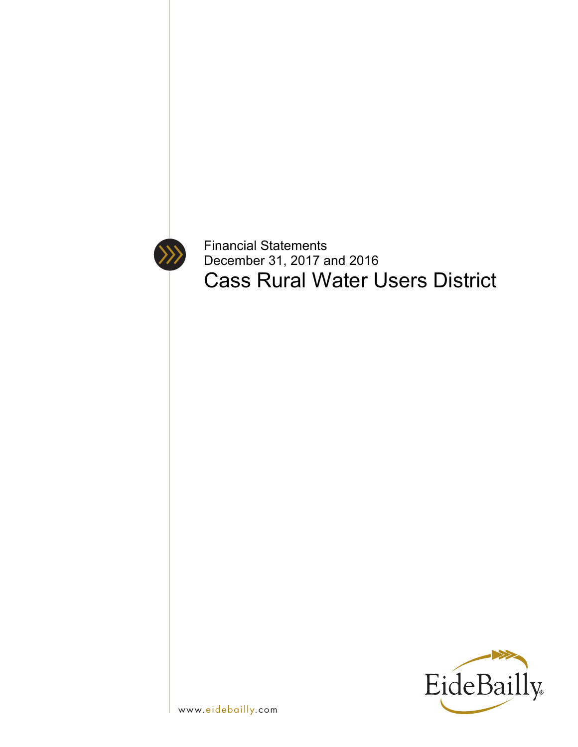

Financial Statements December 31, 2017 and 2016 Cass Rural Water Users District

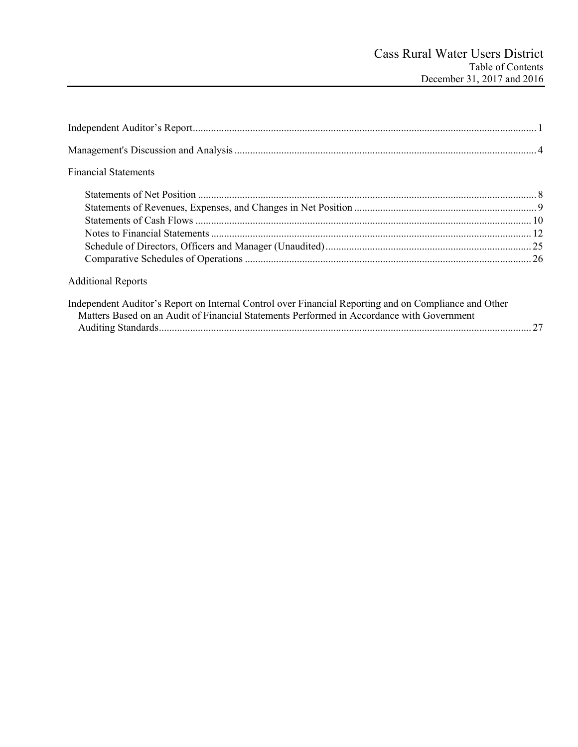| <b>Financial Statements</b>                                                                           |  |
|-------------------------------------------------------------------------------------------------------|--|
|                                                                                                       |  |
|                                                                                                       |  |
|                                                                                                       |  |
|                                                                                                       |  |
|                                                                                                       |  |
|                                                                                                       |  |
| <b>Additional Reports</b>                                                                             |  |
| Independent Auditor's Report on Internal Control over Financial Reporting and on Compliance and Other |  |

| $\mathbf{u}$ , and $\mathbf{u}$ , and $\mathbf{u}$ , and $\mathbf{u}$ , and $\mathbf{u}$ , and $\mathbf{u}$ , and $\mathbf{u}$ , and $\mathbf{u}$ , and $\mathbf{u}$ , and $\mathbf{u}$ , and $\mathbf{u}$ , and $\mathbf{u}$ , and $\mathbf{u}$ , and $\mathbf{u}$ , and $\mathbf{u}$ , |  |  |  |
|------------------------------------------------------------------------------------------------------------------------------------------------------------------------------------------------------------------------------------------------------------------------------------------|--|--|--|
| Matters Based on an Audit of Financial Statements Performed in Accordance with Government                                                                                                                                                                                                |  |  |  |
|                                                                                                                                                                                                                                                                                          |  |  |  |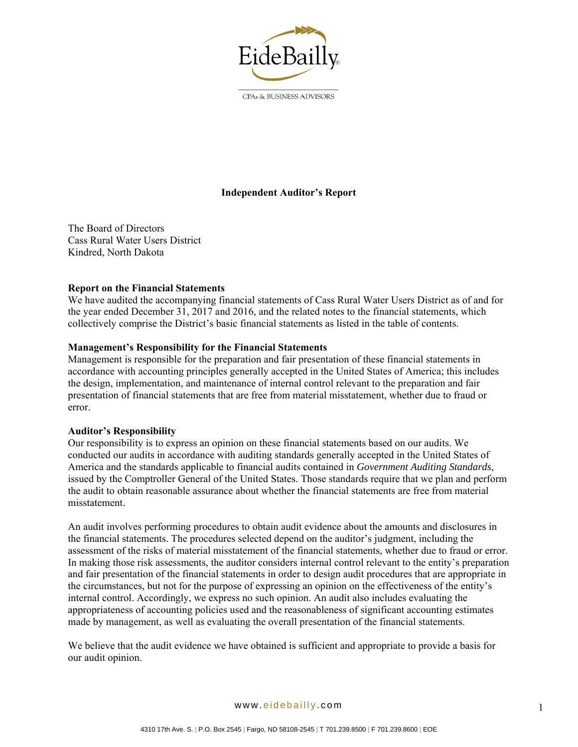

CPAs & BUSINESS ADVISORS

# **Independent Auditor's Report**

The Board of Directors Cass Rural Water Users District Kindred, North Dakota

### **Report on the Financial Statements**

We have audited the accompanying financial statements of Cass Rural Water Users District as of and for the year ended December 31, 2017 and 2016, and the related notes to the financial statements, which collectively comprise the District's basic financial statements as listed in the table of contents.

### **Management's Responsibility for the Financial Statements**

Management is responsible for the preparation and fair presentation of these financial statements in accordance with accounting principles generally accepted in the United States of America; this includes the design, implementation, and maintenance of internal control relevant to the preparation and fair presentation of financial statements that are free from material misstatement, whether due to fraud or error.

#### **Auditor's Responsibility**

Our responsibility is to express an opinion on these financial statements based on our audits. We conducted our audits in accordance with auditing standards generally accepted in the United States of America and the standards applicable to financial audits contained in *Government Auditing Standards*, issued by the Comptroller General of the United States. Those standards require that we plan and perform the audit to obtain reasonable assurance about whether the financial statements are free from material misstatement.

An audit involves performing procedures to obtain audit evidence about the amounts and disclosures in the financial statements. The procedures selected depend on the auditor's judgment, including the assessment of the risks of material misstatement of the financial statements, whether due to fraud or error. In making those risk assessments, the auditor considers internal control relevant to the entity's preparation and fair presentation of the financial statements in order to design audit procedures that are appropriate in the circumstances, but not for the purpose of expressing an opinion on the effectiveness of the entity's internal control. Accordingly, we express no such opinion. An audit also includes evaluating the appropriateness of accounting policies used and the reasonableness of significant accounting estimates made by management, as well as evaluating the overall presentation of the financial statements.

We believe that the audit evidence we have obtained is sufficient and appropriate to provide a basis for our audit opinion.

www. eidebailly .com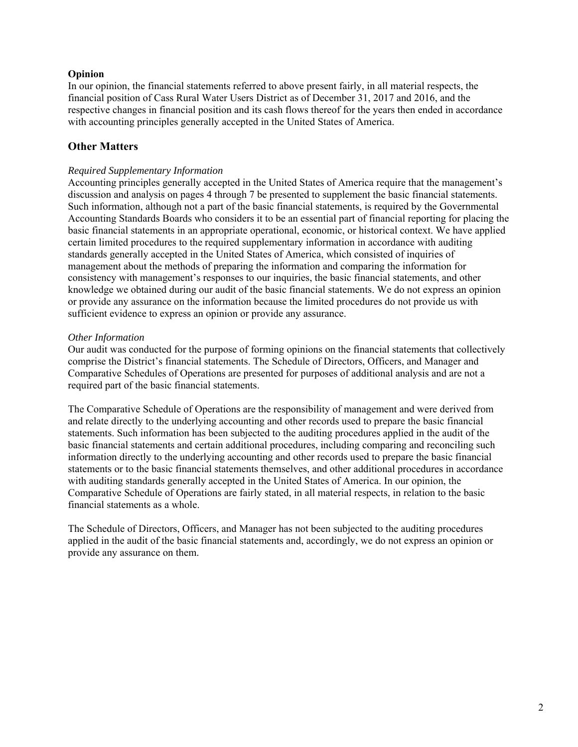## **Opinion**

In our opinion, the financial statements referred to above present fairly, in all material respects, the financial position of Cass Rural Water Users District as of December 31, 2017 and 2016, and the respective changes in financial position and its cash flows thereof for the years then ended in accordance with accounting principles generally accepted in the United States of America.

# **Other Matters**

## *Required Supplementary Information*

Accounting principles generally accepted in the United States of America require that the management's discussion and analysis on pages 4 through 7 be presented to supplement the basic financial statements. Such information, although not a part of the basic financial statements, is required by the Governmental Accounting Standards Boards who considers it to be an essential part of financial reporting for placing the basic financial statements in an appropriate operational, economic, or historical context. We have applied certain limited procedures to the required supplementary information in accordance with auditing standards generally accepted in the United States of America, which consisted of inquiries of management about the methods of preparing the information and comparing the information for consistency with management's responses to our inquiries, the basic financial statements, and other knowledge we obtained during our audit of the basic financial statements. We do not express an opinion or provide any assurance on the information because the limited procedures do not provide us with sufficient evidence to express an opinion or provide any assurance.

### *Other Information*

Our audit was conducted for the purpose of forming opinions on the financial statements that collectively comprise the District's financial statements. The Schedule of Directors, Officers, and Manager and Comparative Schedules of Operations are presented for purposes of additional analysis and are not a required part of the basic financial statements.

The Comparative Schedule of Operations are the responsibility of management and were derived from and relate directly to the underlying accounting and other records used to prepare the basic financial statements. Such information has been subjected to the auditing procedures applied in the audit of the basic financial statements and certain additional procedures, including comparing and reconciling such information directly to the underlying accounting and other records used to prepare the basic financial statements or to the basic financial statements themselves, and other additional procedures in accordance with auditing standards generally accepted in the United States of America. In our opinion, the Comparative Schedule of Operations are fairly stated, in all material respects, in relation to the basic financial statements as a whole.

The Schedule of Directors, Officers, and Manager has not been subjected to the auditing procedures applied in the audit of the basic financial statements and, accordingly, we do not express an opinion or provide any assurance on them.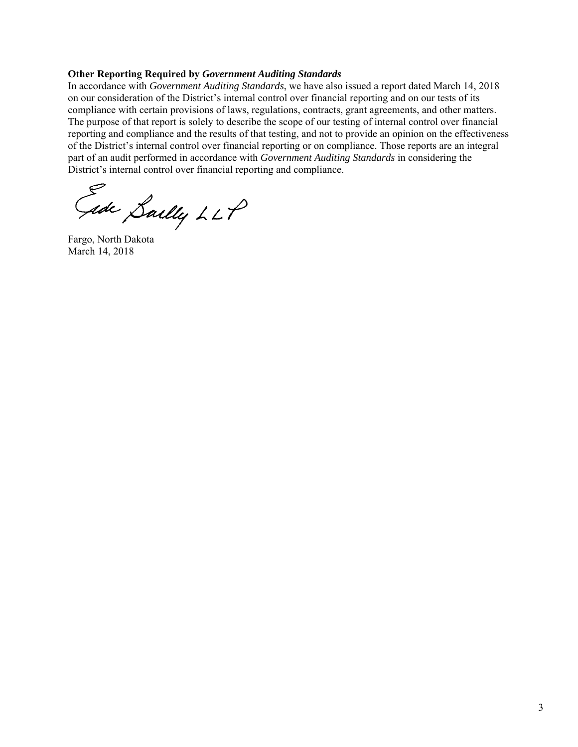#### **Other Reporting Required by** *Government Auditing Standards*

In accordance with *Government Auditing Standards*, we have also issued a report dated March 14, 2018 on our consideration of the District's internal control over financial reporting and on our tests of its compliance with certain provisions of laws, regulations, contracts, grant agreements, and other matters. The purpose of that report is solely to describe the scope of our testing of internal control over financial reporting and compliance and the results of that testing, and not to provide an opinion on the effectiveness of the District's internal control over financial reporting or on compliance. Those reports are an integral part of an audit performed in accordance with *Government Auditing Standards* in considering the District's internal control over financial reporting and compliance.

Jede Sailly LLP

Fargo, North Dakota March 14, 2018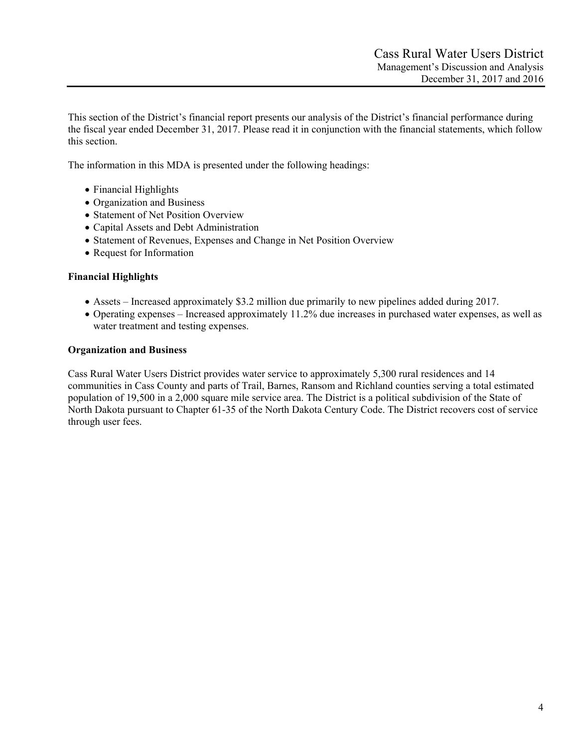This section of the District's financial report presents our analysis of the District's financial performance during the fiscal year ended December 31, 2017. Please read it in conjunction with the financial statements, which follow this section.

The information in this MDA is presented under the following headings:

- Financial Highlights
- Organization and Business
- Statement of Net Position Overview
- Capital Assets and Debt Administration
- Statement of Revenues, Expenses and Change in Net Position Overview
- Request for Information

### **Financial Highlights**

- Assets Increased approximately \$3.2 million due primarily to new pipelines added during 2017.
- Operating expenses Increased approximately 11.2% due increases in purchased water expenses, as well as water treatment and testing expenses.

### **Organization and Business**

Cass Rural Water Users District provides water service to approximately 5,300 rural residences and 14 communities in Cass County and parts of Trail, Barnes, Ransom and Richland counties serving a total estimated population of 19,500 in a 2,000 square mile service area. The District is a political subdivision of the State of North Dakota pursuant to Chapter 61-35 of the North Dakota Century Code. The District recovers cost of service through user fees.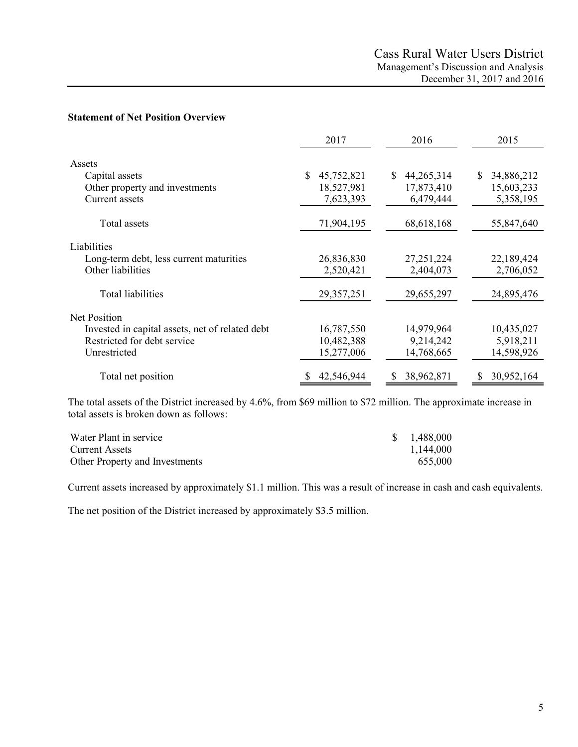#### **Statement of Net Position Overview**

|                                                 | 2017             | 2016             | 2015             |
|-------------------------------------------------|------------------|------------------|------------------|
| Assets                                          |                  |                  |                  |
| Capital assets                                  | \$<br>45,752,821 | S.<br>44,265,314 | 34,886,212<br>\$ |
| Other property and investments                  | 18,527,981       | 17,873,410       | 15,603,233       |
| Current assets                                  | 7,623,393        | 6,479,444        | 5,358,195        |
| Total assets                                    | 71,904,195       | 68,618,168       | 55,847,640       |
| Liabilities                                     |                  |                  |                  |
| Long-term debt, less current maturities         | 26,836,830       | 27, 251, 224     | 22,189,424       |
| Other liabilities                               | 2,520,421        | 2,404,073        | 2,706,052        |
| Total liabilities                               | 29,357,251       | 29,655,297       | 24,895,476       |
| Net Position                                    |                  |                  |                  |
| Invested in capital assets, net of related debt | 16,787,550       | 14,979,964       | 10,435,027       |
| Restricted for debt service                     | 10,482,388       | 9,214,242        | 5,918,211        |
| Unrestricted                                    | 15,277,006       | 14,768,665       | 14,598,926       |
| Total net position                              | 42,546,944       | 38,962,871<br>S  | 30,952,164       |

The total assets of the District increased by 4.6%, from \$69 million to \$72 million. The approximate increase in total assets is broken down as follows:

| Water Plant in service         | \$1,488,000 |
|--------------------------------|-------------|
| Current Assets                 | 1,144,000   |
| Other Property and Investments | 655,000     |

Current assets increased by approximately \$1.1 million. This was a result of increase in cash and cash equivalents.

The net position of the District increased by approximately \$3.5 million.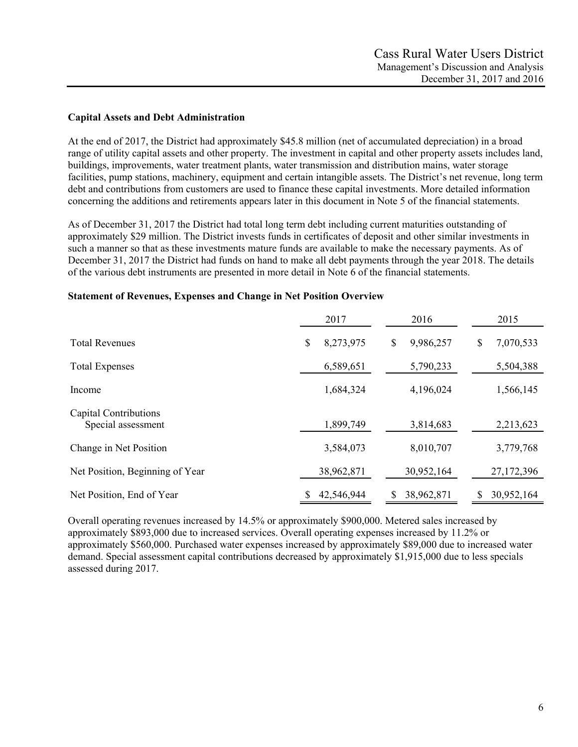### **Capital Assets and Debt Administration**

At the end of 2017, the District had approximately \$45.8 million (net of accumulated depreciation) in a broad range of utility capital assets and other property. The investment in capital and other property assets includes land, buildings, improvements, water treatment plants, water transmission and distribution mains, water storage facilities, pump stations, machinery, equipment and certain intangible assets. The District's net revenue, long term debt and contributions from customers are used to finance these capital investments. More detailed information concerning the additions and retirements appears later in this document in Note 5 of the financial statements.

As of December 31, 2017 the District had total long term debt including current maturities outstanding of approximately \$29 million. The District invests funds in certificates of deposit and other similar investments in such a manner so that as these investments mature funds are available to make the necessary payments. As of December 31, 2017 the District had funds on hand to make all debt payments through the year 2018. The details of the various debt instruments are presented in more detail in Note 6 of the financial statements.

|                                             | 2017            | 2016            | 2015            |
|---------------------------------------------|-----------------|-----------------|-----------------|
| <b>Total Revenues</b>                       | \$<br>8,273,975 | 9,986,257<br>\$ | 7,070,533<br>\$ |
| <b>Total Expenses</b>                       | 6,589,651       | 5,790,233       | 5,504,388       |
| Income                                      | 1,684,324       | 4,196,024       | 1,566,145       |
| Capital Contributions<br>Special assessment | 1,899,749       | 3,814,683       | 2,213,623       |
| Change in Net Position                      | 3,584,073       | 8,010,707       | 3,779,768       |
| Net Position, Beginning of Year             | 38,962,871      | 30,952,164      | 27,172,396      |
| Net Position, End of Year                   | 42,546,944      | 38,962,871<br>S | 30,952,164      |

#### **Statement of Revenues, Expenses and Change in Net Position Overview**

Overall operating revenues increased by 14.5% or approximately \$900,000. Metered sales increased by approximately \$893,000 due to increased services. Overall operating expenses increased by 11.2% or approximately \$560,000. Purchased water expenses increased by approximately \$89,000 due to increased water demand. Special assessment capital contributions decreased by approximately \$1,915,000 due to less specials assessed during 2017.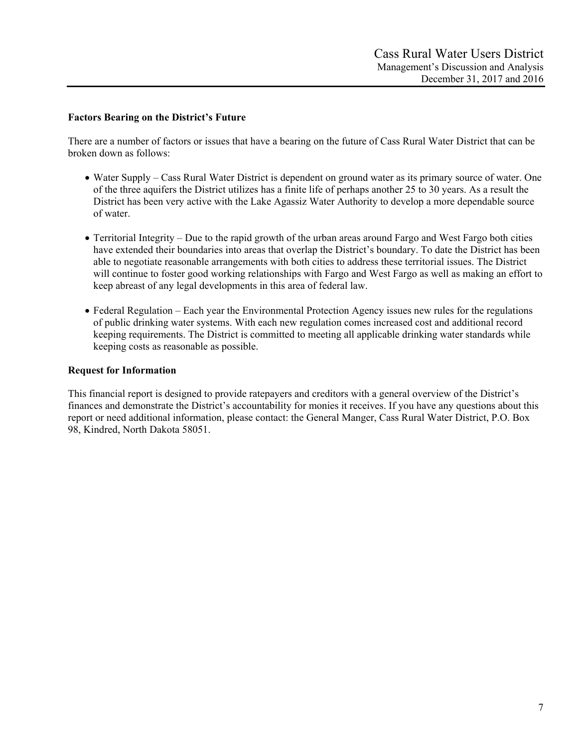### **Factors Bearing on the District's Future**

There are a number of factors or issues that have a bearing on the future of Cass Rural Water District that can be broken down as follows:

- Water Supply Cass Rural Water District is dependent on ground water as its primary source of water. One of the three aquifers the District utilizes has a finite life of perhaps another 25 to 30 years. As a result the District has been very active with the Lake Agassiz Water Authority to develop a more dependable source of water.
- Territorial Integrity Due to the rapid growth of the urban areas around Fargo and West Fargo both cities have extended their boundaries into areas that overlap the District's boundary. To date the District has been able to negotiate reasonable arrangements with both cities to address these territorial issues. The District will continue to foster good working relationships with Fargo and West Fargo as well as making an effort to keep abreast of any legal developments in this area of federal law.
- Federal Regulation Each year the Environmental Protection Agency issues new rules for the regulations of public drinking water systems. With each new regulation comes increased cost and additional record keeping requirements. The District is committed to meeting all applicable drinking water standards while keeping costs as reasonable as possible.

## **Request for Information**

This financial report is designed to provide ratepayers and creditors with a general overview of the District's finances and demonstrate the District's accountability for monies it receives. If you have any questions about this report or need additional information, please contact: the General Manger, Cass Rural Water District, P.O. Box 98, Kindred, North Dakota 58051.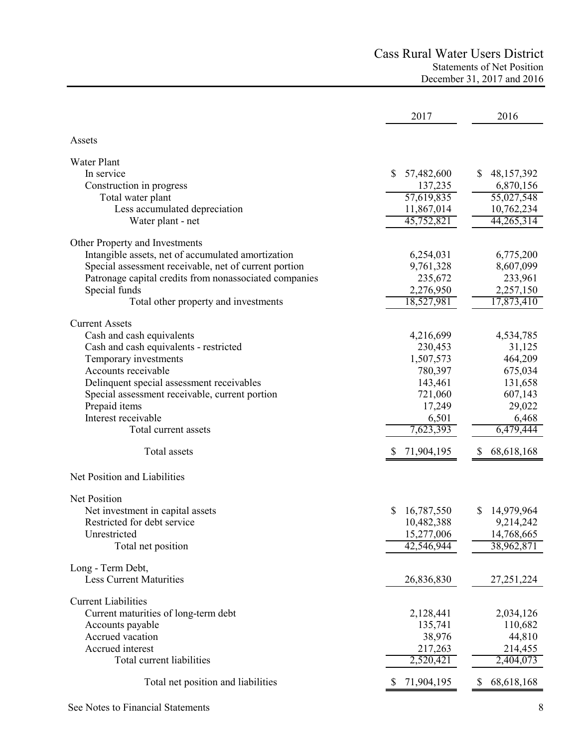# Cass Rural Water Users District Statements of Net Position December 31, 2017 and 2016

|                                                        | 2017             | 2016             |
|--------------------------------------------------------|------------------|------------------|
| Assets                                                 |                  |                  |
|                                                        |                  |                  |
| Water Plant<br>In service                              | 57,482,600<br>S. | 48,157,392       |
| Construction in progress                               | 137,235          | 6,870,156        |
| Total water plant                                      | 57,619,835       | 55,027,548       |
| Less accumulated depreciation                          | 11,867,014       | 10,762,234       |
| Water plant - net                                      | 45,752,821       | 44,265,314       |
| Other Property and Investments                         |                  |                  |
| Intangible assets, net of accumulated amortization     | 6,254,031        | 6,775,200        |
| Special assessment receivable, net of current portion  | 9,761,328        | 8,607,099        |
| Patronage capital credits from nonassociated companies | 235,672          | 233,961          |
| Special funds                                          | 2,276,950        | 2,257,150        |
| Total other property and investments                   | 18,527,981       | 17,873,410       |
| <b>Current Assets</b>                                  |                  |                  |
| Cash and cash equivalents                              | 4,216,699        | 4,534,785        |
| Cash and cash equivalents - restricted                 | 230,453          | 31,125           |
| Temporary investments                                  | 1,507,573        | 464,209          |
| Accounts receivable                                    | 780,397          | 675,034          |
| Delinquent special assessment receivables              | 143,461          | 131,658          |
| Special assessment receivable, current portion         | 721,060          | 607,143          |
| Prepaid items                                          | 17,249           | 29,022           |
| Interest receivable                                    | 6,501            | 6,468            |
| Total current assets                                   | 7,623,393        | 6,479,444        |
| Total assets                                           | 71,904,195       | 68,618,168<br>\$ |
| Net Position and Liabilities                           |                  |                  |
| <b>Net Position</b>                                    |                  |                  |
| Net investment in capital assets                       | 16,787,550<br>S  | 14,979,964<br>S  |
| Restricted for debt service                            | 10,482,388       | 9,214,242        |
| Unrestricted                                           | 15,277,006       | 14,768,665       |
| Total net position                                     | 42,546,944       | 38,962,871       |
| Long - Term Debt,                                      |                  |                  |
| <b>Less Current Maturities</b>                         | 26,836,830       | 27, 251, 224     |
| <b>Current Liabilities</b>                             |                  |                  |
| Current maturities of long-term debt                   | 2,128,441        | 2,034,126        |
| Accounts payable                                       | 135,741          | 110,682          |
| Accrued vacation                                       | 38,976           | 44,810           |
| Accrued interest                                       | 217,263          | 214,455          |
| Total current liabilities                              | 2,520,421        | 2,404,073        |
| Total net position and liabilities                     | 71,904,195       | 68,618,168<br>\$ |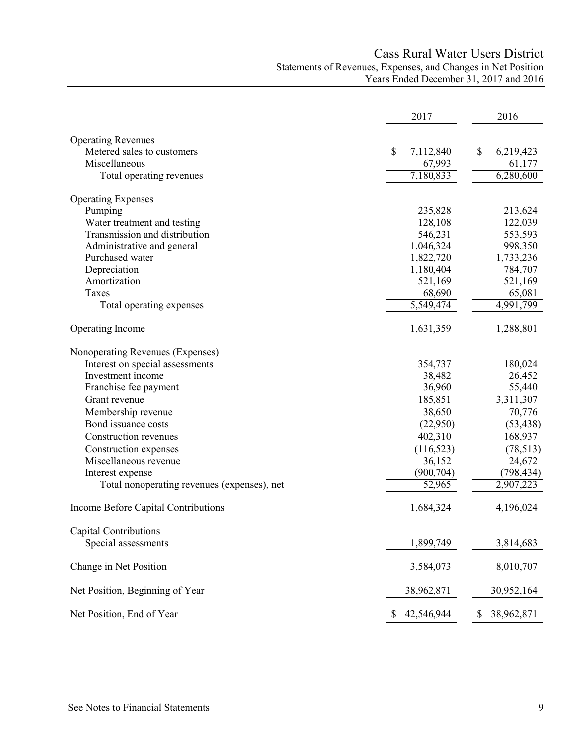# Cass Rural Water Users District Statements of Revenues, Expenses, and Changes in Net Position Years Ended December 31, 2017 and 2016

|                                             | 2017            | 2016            |
|---------------------------------------------|-----------------|-----------------|
| <b>Operating Revenues</b>                   |                 |                 |
| Metered sales to customers                  | \$<br>7,112,840 | 6,219,423<br>\$ |
| Miscellaneous                               | 67,993          | 61,177          |
| Total operating revenues                    | 7,180,833       | 6,280,600       |
| <b>Operating Expenses</b>                   |                 |                 |
| Pumping                                     | 235,828         | 213,624         |
| Water treatment and testing                 | 128,108         | 122,039         |
| Transmission and distribution               | 546,231         | 553,593         |
| Administrative and general                  | 1,046,324       | 998,350         |
| Purchased water                             | 1,822,720       | 1,733,236       |
| Depreciation                                | 1,180,404       | 784,707         |
| Amortization                                | 521,169         | 521,169         |
| Taxes                                       | 68,690          | 65,081          |
| Total operating expenses                    | 5,549,474       | 4,991,799       |
| Operating Income                            | 1,631,359       | 1,288,801       |
| Nonoperating Revenues (Expenses)            |                 |                 |
| Interest on special assessments             | 354,737         | 180,024         |
| Investment income                           | 38,482          | 26,452          |
| Franchise fee payment                       | 36,960          | 55,440          |
| Grant revenue                               | 185,851         | 3,311,307       |
| Membership revenue                          | 38,650          | 70,776          |
| Bond issuance costs                         | (22,950)        | (53, 438)       |
| Construction revenues                       | 402,310         | 168,937         |
| Construction expenses                       | (116, 523)      | (78, 513)       |
| Miscellaneous revenue                       | 36,152          | 24,672          |
| Interest expense                            | (900, 704)      | (798, 434)      |
| Total nonoperating revenues (expenses), net | 52,965          | 2,907,223       |
| Income Before Capital Contributions         | 1,684,324       | 4,196,024       |
| Capital Contributions                       |                 |                 |
| Special assessments                         | 1,899,749       | 3,814,683       |
| Change in Net Position                      | 3,584,073       | 8,010,707       |
| Net Position, Beginning of Year             | 38,962,871      | 30,952,164      |
| Net Position, End of Year                   | 42,546,944      | 38,962,871      |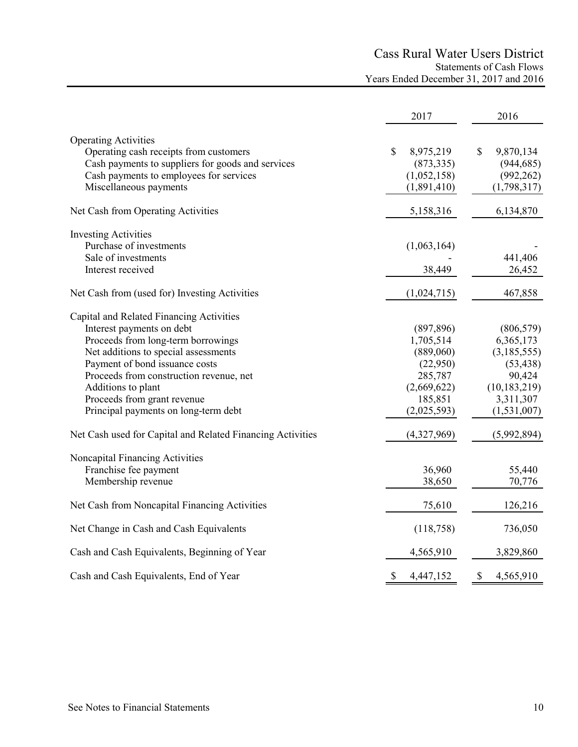# Cass Rural Water Users District Statements of Cash Flows Years Ended December 31, 2017 and 2016

|                                                                                                                                                                                                                                                                                                                               | 2017                                                                                                 | 2016                                                                                                          |
|-------------------------------------------------------------------------------------------------------------------------------------------------------------------------------------------------------------------------------------------------------------------------------------------------------------------------------|------------------------------------------------------------------------------------------------------|---------------------------------------------------------------------------------------------------------------|
| <b>Operating Activities</b><br>Operating cash receipts from customers<br>Cash payments to suppliers for goods and services<br>Cash payments to employees for services<br>Miscellaneous payments                                                                                                                               | $\mathcal{S}$<br>8,975,219<br>(873, 335)<br>(1,052,158)<br>(1,891,410)                               | \$<br>9,870,134<br>(944, 685)<br>(992, 262)<br>(1,798,317)                                                    |
| Net Cash from Operating Activities                                                                                                                                                                                                                                                                                            | 5,158,316                                                                                            | 6,134,870                                                                                                     |
| <b>Investing Activities</b><br>Purchase of investments<br>Sale of investments<br>Interest received                                                                                                                                                                                                                            | (1,063,164)<br>38,449                                                                                | 441,406<br>26,452                                                                                             |
| Net Cash from (used for) Investing Activities                                                                                                                                                                                                                                                                                 | (1,024,715)                                                                                          | 467,858                                                                                                       |
| Capital and Related Financing Activities<br>Interest payments on debt<br>Proceeds from long-term borrowings<br>Net additions to special assessments<br>Payment of bond issuance costs<br>Proceeds from construction revenue, net<br>Additions to plant<br>Proceeds from grant revenue<br>Principal payments on long-term debt | (897, 896)<br>1,705,514<br>(889,060)<br>(22,950)<br>285,787<br>(2,669,622)<br>185,851<br>(2,025,593) | (806, 579)<br>6,365,173<br>(3,185,555)<br>(53, 438)<br>90,424<br>(10, 183, 219)<br>3,311,307<br>(1, 531, 007) |
| Net Cash used for Capital and Related Financing Activities                                                                                                                                                                                                                                                                    | (4,327,969)                                                                                          | (5,992,894)                                                                                                   |
| Noncapital Financing Activities<br>Franchise fee payment<br>Membership revenue                                                                                                                                                                                                                                                | 36,960<br>38,650                                                                                     | 55,440<br>70,776                                                                                              |
| Net Cash from Noncapital Financing Activities                                                                                                                                                                                                                                                                                 | 75,610                                                                                               | 126,216                                                                                                       |
| Net Change in Cash and Cash Equivalents                                                                                                                                                                                                                                                                                       | (118,758)                                                                                            | 736,050                                                                                                       |
| Cash and Cash Equivalents, Beginning of Year                                                                                                                                                                                                                                                                                  | 4,565,910                                                                                            | 3,829,860                                                                                                     |
| Cash and Cash Equivalents, End of Year                                                                                                                                                                                                                                                                                        | \$<br>4,447,152                                                                                      | \$<br>4,565,910                                                                                               |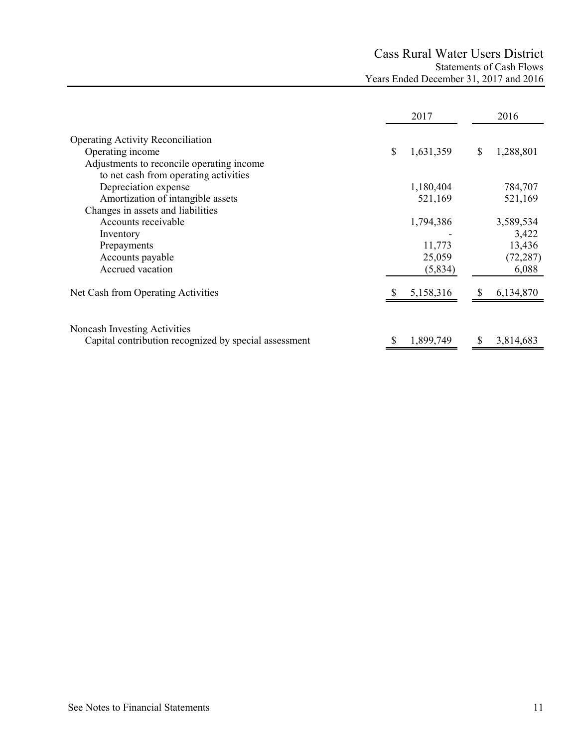# Cass Rural Water Users District Statements of Cash Flows Years Ended December 31, 2017 and 2016

|                                                       | 2017            | 2016            |
|-------------------------------------------------------|-----------------|-----------------|
| <b>Operating Activity Reconciliation</b>              |                 |                 |
| Operating income                                      | \$<br>1,631,359 | \$<br>1,288,801 |
| Adjustments to reconcile operating income             |                 |                 |
| to net cash from operating activities                 |                 |                 |
| Depreciation expense                                  | 1,180,404       | 784,707         |
| Amortization of intangible assets                     | 521,169         | 521,169         |
| Changes in assets and liabilities                     |                 |                 |
| Accounts receivable                                   | 1,794,386       | 3,589,534       |
| Inventory                                             |                 | 3,422           |
| Prepayments                                           | 11,773          | 13,436          |
| Accounts payable                                      | 25,059          | (72, 287)       |
| Accrued vacation                                      | (5,834)         | 6,088           |
| Net Cash from Operating Activities                    | 5,158,316       | 6,134,870       |
|                                                       |                 |                 |
| Noncash Investing Activities                          |                 |                 |
| Capital contribution recognized by special assessment | 1,899,749       | 3,814,683       |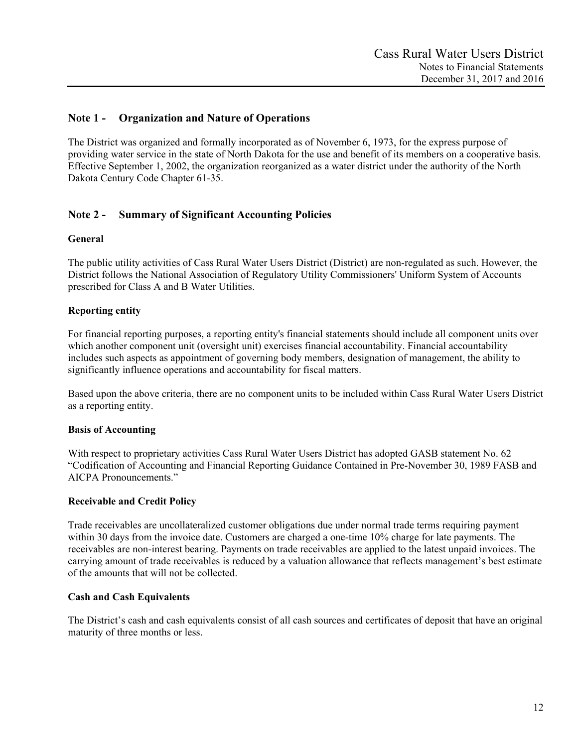# **Note 1 - Organization and Nature of Operations**

The District was organized and formally incorporated as of November 6, 1973, for the express purpose of providing water service in the state of North Dakota for the use and benefit of its members on a cooperative basis. Effective September 1, 2002, the organization reorganized as a water district under the authority of the North Dakota Century Code Chapter 61-35.

# **Note 2 - Summary of Significant Accounting Policies**

#### **General**

The public utility activities of Cass Rural Water Users District (District) are non-regulated as such. However, the District follows the National Association of Regulatory Utility Commissioners' Uniform System of Accounts prescribed for Class A and B Water Utilities.

### **Reporting entity**

For financial reporting purposes, a reporting entity's financial statements should include all component units over which another component unit (oversight unit) exercises financial accountability. Financial accountability includes such aspects as appointment of governing body members, designation of management, the ability to significantly influence operations and accountability for fiscal matters.

Based upon the above criteria, there are no component units to be included within Cass Rural Water Users District as a reporting entity.

#### **Basis of Accounting**

With respect to proprietary activities Cass Rural Water Users District has adopted GASB statement No. 62 "Codification of Accounting and Financial Reporting Guidance Contained in Pre-November 30, 1989 FASB and AICPA Pronouncements."

#### **Receivable and Credit Policy**

Trade receivables are uncollateralized customer obligations due under normal trade terms requiring payment within 30 days from the invoice date. Customers are charged a one-time 10% charge for late payments. The receivables are non-interest bearing. Payments on trade receivables are applied to the latest unpaid invoices. The carrying amount of trade receivables is reduced by a valuation allowance that reflects management's best estimate of the amounts that will not be collected.

#### **Cash and Cash Equivalents**

The District's cash and cash equivalents consist of all cash sources and certificates of deposit that have an original maturity of three months or less.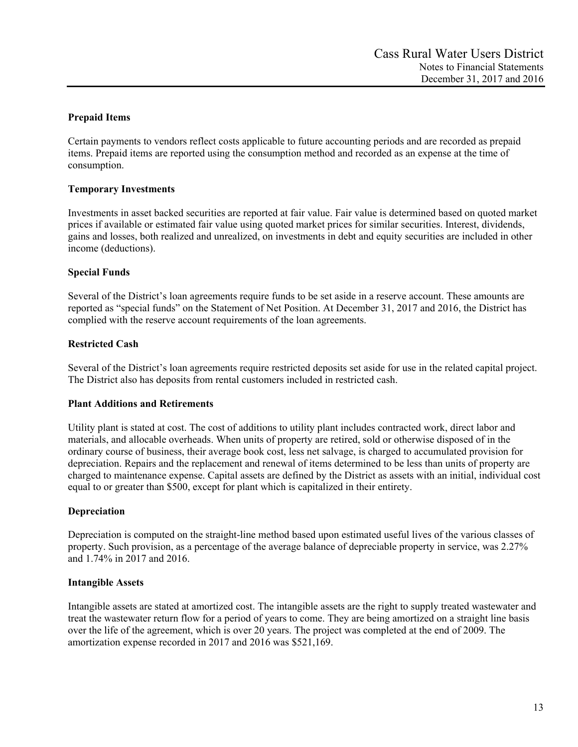# **Prepaid Items**

Certain payments to vendors reflect costs applicable to future accounting periods and are recorded as prepaid items. Prepaid items are reported using the consumption method and recorded as an expense at the time of consumption.

# **Temporary Investments**

Investments in asset backed securities are reported at fair value. Fair value is determined based on quoted market prices if available or estimated fair value using quoted market prices for similar securities. Interest, dividends, gains and losses, both realized and unrealized, on investments in debt and equity securities are included in other income (deductions).

# **Special Funds**

Several of the District's loan agreements require funds to be set aside in a reserve account. These amounts are reported as "special funds" on the Statement of Net Position. At December 31, 2017 and 2016, the District has complied with the reserve account requirements of the loan agreements.

# **Restricted Cash**

Several of the District's loan agreements require restricted deposits set aside for use in the related capital project. The District also has deposits from rental customers included in restricted cash.

### **Plant Additions and Retirements**

Utility plant is stated at cost. The cost of additions to utility plant includes contracted work, direct labor and materials, and allocable overheads. When units of property are retired, sold or otherwise disposed of in the ordinary course of business, their average book cost, less net salvage, is charged to accumulated provision for depreciation. Repairs and the replacement and renewal of items determined to be less than units of property are charged to maintenance expense. Capital assets are defined by the District as assets with an initial, individual cost equal to or greater than \$500, except for plant which is capitalized in their entirety.

### **Depreciation**

Depreciation is computed on the straight-line method based upon estimated useful lives of the various classes of property. Such provision, as a percentage of the average balance of depreciable property in service, was 2.27% and 1.74% in 2017 and 2016.

### **Intangible Assets**

Intangible assets are stated at amortized cost. The intangible assets are the right to supply treated wastewater and treat the wastewater return flow for a period of years to come. They are being amortized on a straight line basis over the life of the agreement, which is over 20 years. The project was completed at the end of 2009. The amortization expense recorded in 2017 and 2016 was \$521,169.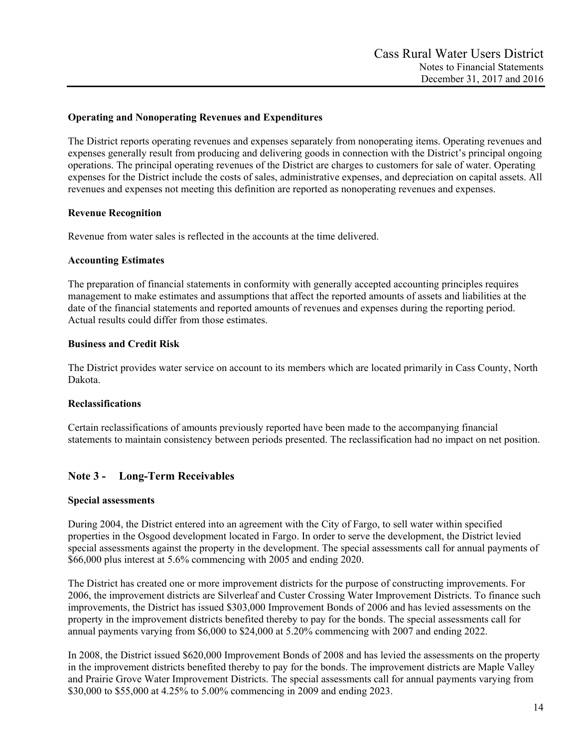## **Operating and Nonoperating Revenues and Expenditures**

The District reports operating revenues and expenses separately from nonoperating items. Operating revenues and expenses generally result from producing and delivering goods in connection with the District's principal ongoing operations. The principal operating revenues of the District are charges to customers for sale of water. Operating expenses for the District include the costs of sales, administrative expenses, and depreciation on capital assets. All revenues and expenses not meeting this definition are reported as nonoperating revenues and expenses.

# **Revenue Recognition**

Revenue from water sales is reflected in the accounts at the time delivered.

#### **Accounting Estimates**

The preparation of financial statements in conformity with generally accepted accounting principles requires management to make estimates and assumptions that affect the reported amounts of assets and liabilities at the date of the financial statements and reported amounts of revenues and expenses during the reporting period. Actual results could differ from those estimates.

#### **Business and Credit Risk**

The District provides water service on account to its members which are located primarily in Cass County, North Dakota.

### **Reclassifications**

Certain reclassifications of amounts previously reported have been made to the accompanying financial statements to maintain consistency between periods presented. The reclassification had no impact on net position.

# **Note 3 - Long-Term Receivables**

#### **Special assessments**

During 2004, the District entered into an agreement with the City of Fargo, to sell water within specified properties in the Osgood development located in Fargo. In order to serve the development, the District levied special assessments against the property in the development. The special assessments call for annual payments of \$66,000 plus interest at 5.6% commencing with 2005 and ending 2020.

The District has created one or more improvement districts for the purpose of constructing improvements. For 2006, the improvement districts are Silverleaf and Custer Crossing Water Improvement Districts. To finance such improvements, the District has issued \$303,000 Improvement Bonds of 2006 and has levied assessments on the property in the improvement districts benefited thereby to pay for the bonds. The special assessments call for annual payments varying from \$6,000 to \$24,000 at 5.20% commencing with 2007 and ending 2022.

In 2008, the District issued \$620,000 Improvement Bonds of 2008 and has levied the assessments on the property in the improvement districts benefited thereby to pay for the bonds. The improvement districts are Maple Valley and Prairie Grove Water Improvement Districts. The special assessments call for annual payments varying from \$30,000 to \$55,000 at 4.25% to 5.00% commencing in 2009 and ending 2023.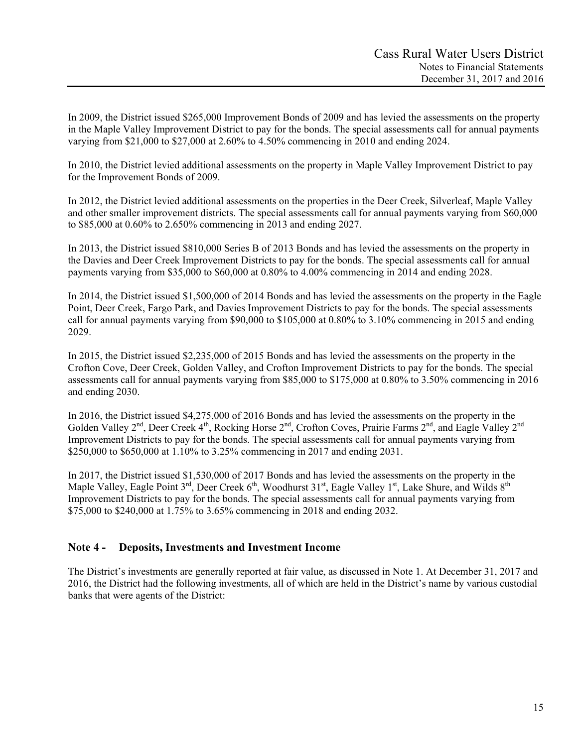In 2009, the District issued \$265,000 Improvement Bonds of 2009 and has levied the assessments on the property in the Maple Valley Improvement District to pay for the bonds. The special assessments call for annual payments varying from \$21,000 to \$27,000 at 2.60% to 4.50% commencing in 2010 and ending 2024.

In 2010, the District levied additional assessments on the property in Maple Valley Improvement District to pay for the Improvement Bonds of 2009.

In 2012, the District levied additional assessments on the properties in the Deer Creek, Silverleaf, Maple Valley and other smaller improvement districts. The special assessments call for annual payments varying from \$60,000 to \$85,000 at 0.60% to 2.650% commencing in 2013 and ending 2027.

In 2013, the District issued \$810,000 Series B of 2013 Bonds and has levied the assessments on the property in the Davies and Deer Creek Improvement Districts to pay for the bonds. The special assessments call for annual payments varying from \$35,000 to \$60,000 at 0.80% to 4.00% commencing in 2014 and ending 2028.

In 2014, the District issued \$1,500,000 of 2014 Bonds and has levied the assessments on the property in the Eagle Point, Deer Creek, Fargo Park, and Davies Improvement Districts to pay for the bonds. The special assessments call for annual payments varying from \$90,000 to \$105,000 at 0.80% to 3.10% commencing in 2015 and ending 2029.

In 2015, the District issued \$2,235,000 of 2015 Bonds and has levied the assessments on the property in the Crofton Cove, Deer Creek, Golden Valley, and Crofton Improvement Districts to pay for the bonds. The special assessments call for annual payments varying from \$85,000 to \$175,000 at 0.80% to 3.50% commencing in 2016 and ending 2030.

In 2016, the District issued \$4,275,000 of 2016 Bonds and has levied the assessments on the property in the Golden Valley 2<sup>nd</sup>, Deer Creek 4<sup>th</sup>, Rocking Horse 2<sup>nd</sup>, Crofton Coves, Prairie Farms 2<sup>nd</sup>, and Eagle Valley 2<sup>nd</sup> Improvement Districts to pay for the bonds. The special assessments call for annual payments varying from \$250,000 to \$650,000 at 1.10% to 3.25% commencing in 2017 and ending 2031.

In 2017, the District issued \$1,530,000 of 2017 Bonds and has levied the assessments on the property in the Maple Valley, Eagle Point 3<sup>rd</sup>, Deer Creek 6<sup>th</sup>, Woodhurst 31<sup>st</sup>, Eagle Valley 1<sup>st</sup>, Lake Shure, and Wilds 8<sup>th</sup> Improvement Districts to pay for the bonds. The special assessments call for annual payments varying from \$75,000 to \$240,000 at 1.75% to 3.65% commencing in 2018 and ending 2032.

# **Note 4 - Deposits, Investments and Investment Income**

The District's investments are generally reported at fair value, as discussed in Note 1. At December 31, 2017 and 2016, the District had the following investments, all of which are held in the District's name by various custodial banks that were agents of the District: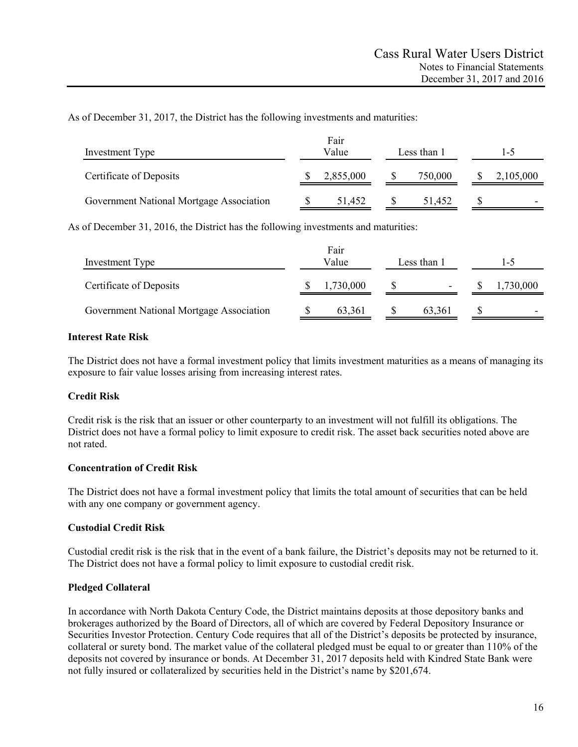As of December 31, 2017, the District has the following investments and maturities:

| Investment Type                          | Fair<br>Value | Less than 1 | I –5      |  |  |
|------------------------------------------|---------------|-------------|-----------|--|--|
| Certificate of Deposits                  | 2,855,000     | 750,000     | 2,105,000 |  |  |
| Government National Mortgage Association | 51,452        | 51.452      | -         |  |  |

As of December 31, 2016, the District has the following investments and maturities:

| Investment Type                          | Fair<br>Value<br>Less than 1 |  |                          |  | l-5       |
|------------------------------------------|------------------------------|--|--------------------------|--|-----------|
| Certificate of Deposits                  | 1,730,000                    |  | $\overline{\phantom{0}}$ |  | 1,730,000 |
| Government National Mortgage Association | 63.361                       |  | 63,361                   |  | -         |

# **Interest Rate Risk**

The District does not have a formal investment policy that limits investment maturities as a means of managing its exposure to fair value losses arising from increasing interest rates.

# **Credit Risk**

Credit risk is the risk that an issuer or other counterparty to an investment will not fulfill its obligations. The District does not have a formal policy to limit exposure to credit risk. The asset back securities noted above are not rated.

### **Concentration of Credit Risk**

The District does not have a formal investment policy that limits the total amount of securities that can be held with any one company or government agency.

### **Custodial Credit Risk**

Custodial credit risk is the risk that in the event of a bank failure, the District's deposits may not be returned to it. The District does not have a formal policy to limit exposure to custodial credit risk.

### **Pledged Collateral**

In accordance with North Dakota Century Code, the District maintains deposits at those depository banks and brokerages authorized by the Board of Directors, all of which are covered by Federal Depository Insurance or Securities Investor Protection. Century Code requires that all of the District's deposits be protected by insurance, collateral or surety bond. The market value of the collateral pledged must be equal to or greater than 110% of the deposits not covered by insurance or bonds. At December 31, 2017 deposits held with Kindred State Bank were not fully insured or collateralized by securities held in the District's name by \$201,674.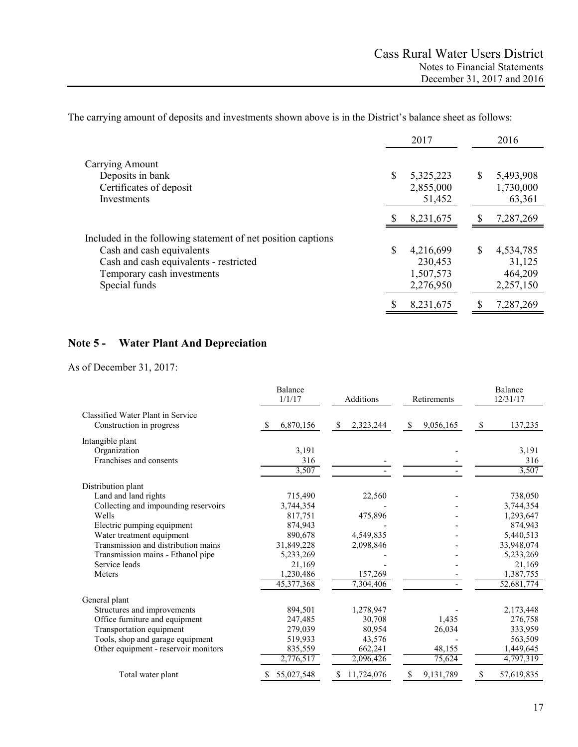The carrying amount of deposits and investments shown above is in the District's balance sheet as follows:

|                                                              | 2017            |               | 2016      |
|--------------------------------------------------------------|-----------------|---------------|-----------|
| Carrying Amount                                              |                 |               |           |
| Deposits in bank                                             | \$<br>5,325,223 | \$            | 5,493,908 |
| Certificates of deposit                                      | 2,855,000       |               | 1,730,000 |
| Investments                                                  | 51,452          |               | 63,361    |
|                                                              | 8,231,675       | <sup>\$</sup> | 7,287,269 |
| Included in the following statement of net position captions |                 |               |           |
| Cash and cash equivalents                                    | \$<br>4,216,699 | \$            | 4,534,785 |
| Cash and cash equivalents - restricted                       | 230,453         |               | 31,125    |
| Temporary cash investments                                   | 1,507,573       |               | 464,209   |
| Special funds                                                | 2,276,950       |               | 2,257,150 |
|                                                              | \$<br>8,231,675 | S             | 7,287,269 |

# **Note 5 - Water Plant And Depreciation**

As of December 31, 2017:

|                                                               | Balance<br>1/1/17 | Additions                  | Retirements     | Balance<br>12/31/17 |  |
|---------------------------------------------------------------|-------------------|----------------------------|-----------------|---------------------|--|
| Classified Water Plant in Service<br>Construction in progress | 6,870,156<br>S    | 2,323,244<br><sup>\$</sup> | \$<br>9,056,165 | 137,235<br>\$       |  |
|                                                               |                   |                            |                 |                     |  |
| Intangible plant                                              |                   |                            |                 |                     |  |
| Organization                                                  | 3,191             |                            |                 | 3,191               |  |
| Franchises and consents                                       | 316<br>3,507      |                            |                 | 316<br>3,507        |  |
| Distribution plant                                            |                   |                            |                 |                     |  |
| Land and land rights                                          | 715,490           | 22,560                     |                 | 738,050             |  |
| Collecting and impounding reservoirs                          | 3,744,354         |                            |                 | 3,744,354           |  |
| Wells                                                         | 817,751           | 475,896                    |                 | 1,293,647           |  |
| Electric pumping equipment                                    | 874,943           |                            |                 | 874,943             |  |
| Water treatment equipment                                     | 890,678           | 4,549,835                  |                 | 5,440,513           |  |
| Transmission and distribution mains                           | 31,849,228        | 2,098,846                  |                 | 33,948,074          |  |
| Transmission mains - Ethanol pipe                             | 5,233,269         |                            |                 | 5,233,269           |  |
| Service leads                                                 | 21,169            |                            |                 | 21,169              |  |
| Meters                                                        | 1,230,486         | 157,269                    |                 | 1,387,755           |  |
|                                                               | 45,377,368        | 7,304,406                  |                 | 52,681,774          |  |
| General plant                                                 |                   |                            |                 |                     |  |
| Structures and improvements                                   | 894,501           | 1,278,947                  |                 | 2,173,448           |  |
| Office furniture and equipment                                | 247,485           | 30,708                     | 1,435           | 276,758             |  |
| Transportation equipment                                      | 279,039           | 80,954                     | 26,034          | 333,959             |  |
| Tools, shop and garage equipment                              | 519,933           | 43,576                     |                 | 563,509             |  |
| Other equipment - reservoir monitors                          | 835,559           | 662,241                    | 48,155          | 1,449,645           |  |
|                                                               | 2,776,517         | 2,096,426                  | 75,624          | 4,797,319           |  |
| Total water plant                                             | 55,027,548        | 11,724,076<br>S            | 9,131,789<br>S  | 57,619,835          |  |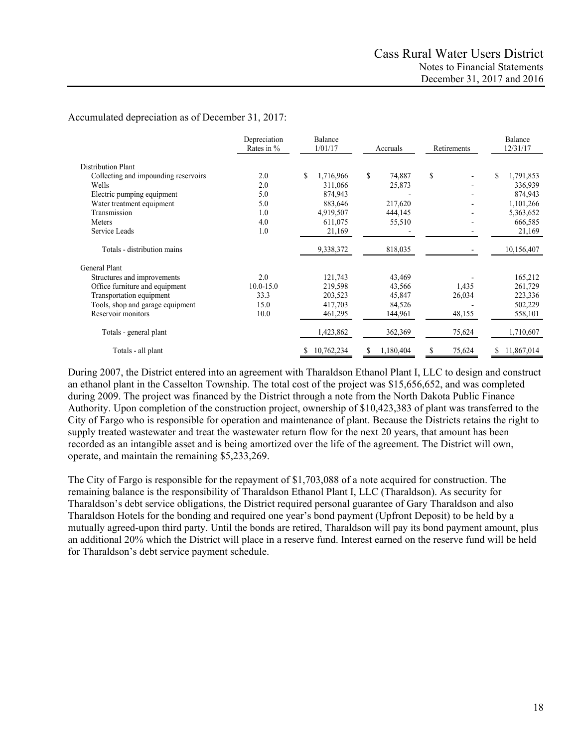Accumulated depreciation as of December 31, 2017:

|                                      | Depreciation<br>Rates in % | Balance<br>1/01/17 |                 | Retirements  | Balance<br>12/31/17 |  |
|--------------------------------------|----------------------------|--------------------|-----------------|--------------|---------------------|--|
| <b>Distribution Plant</b>            |                            |                    |                 |              |                     |  |
| Collecting and impounding reservoirs | 2.0                        | S<br>1,716,966     | \$<br>74,887    | \$           | \$<br>1,791,853     |  |
| Wells                                | 2.0                        | 311,066            | 25,873          |              | 336,939             |  |
| Electric pumping equipment           | 5.0                        | 874,943            |                 |              | 874,943             |  |
| Water treatment equipment            | 5.0                        | 883,646            | 217,620         |              | 1,101,266           |  |
| Transmission                         | 1.0                        | 4,919,507          | 444,145         |              | 5,363,652           |  |
| Meters                               | 4.0                        | 611,075            | 55,510          |              | 666,585             |  |
| Service Leads                        | 1.0                        | 21,169             |                 |              | 21,169              |  |
| Totals - distribution mains          |                            | 9,338,372          | 818,035         |              | 10,156,407          |  |
| General Plant                        |                            |                    |                 |              |                     |  |
| Structures and improvements          | 2.0                        | 121,743            | 43,469          |              | 165,212             |  |
| Office furniture and equipment       | $10.0 - 15.0$              | 219,598            | 43,566          | 1,435        | 261,729             |  |
| Transportation equipment             | 33.3                       | 203,523            | 45,847          | 26,034       | 223,336             |  |
| Tools, shop and garage equipment     | 15.0                       | 417,703            | 84,526          |              | 502,229             |  |
| Reservoir monitors                   | 10.0                       | 461,295            | 144,961         | 48,155       | 558,101             |  |
| Totals - general plant               |                            | 1,423,862          | 362,369         | 75,624       | 1,710,607           |  |
| Totals - all plant                   |                            | 10,762,234<br>\$   | 1,180,404<br>\$ | \$<br>75,624 | 11,867,014<br>\$    |  |

During 2007, the District entered into an agreement with Tharaldson Ethanol Plant I, LLC to design and construct an ethanol plant in the Casselton Township. The total cost of the project was \$15,656,652, and was completed during 2009. The project was financed by the District through a note from the North Dakota Public Finance Authority. Upon completion of the construction project, ownership of \$10,423,383 of plant was transferred to the City of Fargo who is responsible for operation and maintenance of plant. Because the Districts retains the right to supply treated wastewater and treat the wastewater return flow for the next 20 years, that amount has been recorded as an intangible asset and is being amortized over the life of the agreement. The District will own, operate, and maintain the remaining \$5,233,269.

The City of Fargo is responsible for the repayment of \$1,703,088 of a note acquired for construction. The remaining balance is the responsibility of Tharaldson Ethanol Plant I, LLC (Tharaldson). As security for Tharaldson's debt service obligations, the District required personal guarantee of Gary Tharaldson and also Tharaldson Hotels for the bonding and required one year's bond payment (Upfront Deposit) to be held by a mutually agreed-upon third party. Until the bonds are retired, Tharaldson will pay its bond payment amount, plus an additional 20% which the District will place in a reserve fund. Interest earned on the reserve fund will be held for Tharaldson's debt service payment schedule.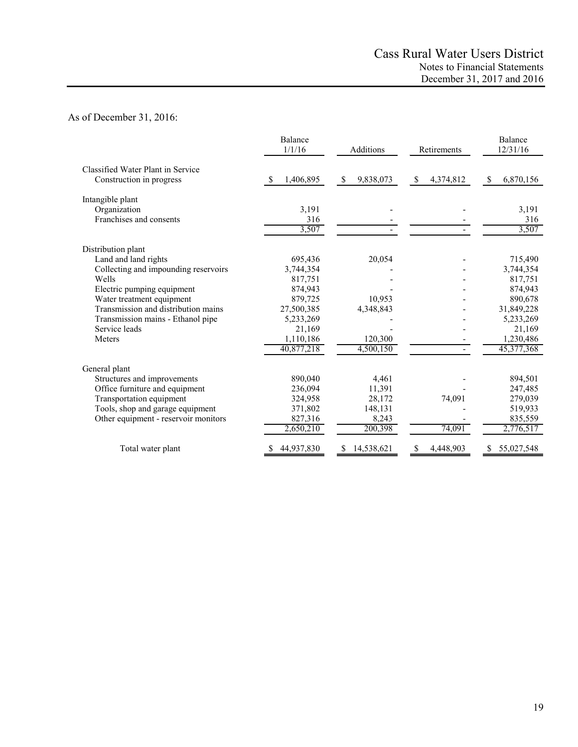# As of December 31, 2016:

|                                      | Balance<br>1/1/16 | Additions       | Retirements                | Balance<br>12/31/16 |  |
|--------------------------------------|-------------------|-----------------|----------------------------|---------------------|--|
| Classified Water Plant in Service    |                   |                 |                            |                     |  |
| Construction in progress             | 1,406,895         | 9,838,073<br>\$ | 4,374,812<br><sup>\$</sup> | 6,870,156<br>S      |  |
| Intangible plant                     |                   |                 |                            |                     |  |
| Organization                         | 3,191             |                 |                            | 3,191               |  |
| Franchises and consents              | 316               |                 |                            | 316                 |  |
|                                      | 3,507             |                 |                            | 3,507               |  |
| Distribution plant                   |                   |                 |                            |                     |  |
| Land and land rights                 | 695,436           | 20,054          |                            | 715,490             |  |
| Collecting and impounding reservoirs | 3,744,354         |                 |                            | 3,744,354           |  |
| Wells                                | 817,751           |                 |                            | 817,751             |  |
| Electric pumping equipment           | 874,943           |                 |                            | 874,943             |  |
| Water treatment equipment            | 879,725           | 10,953          |                            | 890,678             |  |
| Transmission and distribution mains  | 27,500,385        | 4,348,843       |                            | 31,849,228          |  |
| Transmission mains - Ethanol pipe    | 5,233,269         |                 |                            | 5,233,269           |  |
| Service leads                        | 21,169            |                 |                            | 21,169              |  |
| Meters                               | 1,110,186         | 120,300         |                            | 1,230,486           |  |
|                                      | 40,877,218        | 4,500,150       |                            | 45,377,368          |  |
| General plant                        |                   |                 |                            |                     |  |
| Structures and improvements          | 890,040           | 4,461           |                            | 894,501             |  |
| Office furniture and equipment       | 236,094           | 11,391          |                            | 247,485             |  |
| Transportation equipment             | 324,958           | 28,172          | 74,091                     | 279,039             |  |
| Tools, shop and garage equipment     | 371,802           | 148,131         |                            | 519,933             |  |
| Other equipment - reservoir monitors | 827,316           | 8,243           |                            | 835,559             |  |
|                                      | 2,650,210         | 200,398         | 74,091                     | 2,776,517           |  |
| Total water plant                    | 44,937,830        | 14,538,621<br>S | 4,448,903<br>S             | 55,027,548          |  |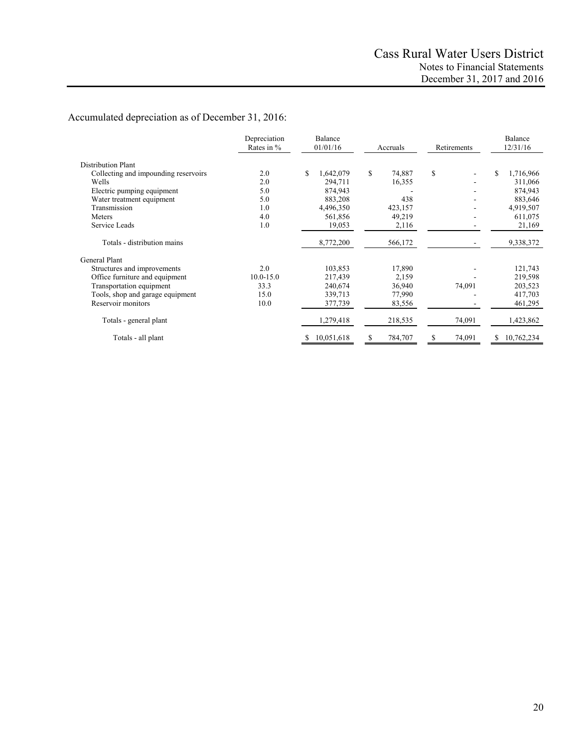# Accumulated depreciation as of December 31, 2016:

| Depreciation<br>Rates in %           |               | Balance<br>01/01/16 | Accruals     | Retirements | Balance<br>12/31/16 |  |
|--------------------------------------|---------------|---------------------|--------------|-------------|---------------------|--|
| <b>Distribution Plant</b>            |               |                     |              |             |                     |  |
| Collecting and impounding reservoirs | 2.0           | \$<br>1,642,079     | \$<br>74,887 | \$          | \$<br>1,716,966     |  |
| Wells                                | 2.0           | 294,711             | 16,355       |             | 311,066             |  |
| Electric pumping equipment           | 5.0           | 874,943             |              |             | 874,943             |  |
| Water treatment equipment            | 5.0           | 883,208             | 438          |             | 883,646             |  |
| Transmission                         | 1.0           | 4,496,350           | 423,157      |             | 4,919,507           |  |
| Meters                               | 4.0           | 561,856             | 49,219       |             | 611,075             |  |
| Service Leads                        | 1.0           | 19,053              | 2,116        |             | 21,169              |  |
| Totals - distribution mains          |               | 8,772,200           | 566,172      |             | 9,338,372           |  |
| General Plant                        |               |                     |              |             |                     |  |
| Structures and improvements          | 2.0           | 103,853             | 17,890       |             | 121,743             |  |
| Office furniture and equipment       | $10.0 - 15.0$ | 217,439             | 2,159        |             | 219,598             |  |
| Transportation equipment             | 33.3          | 240,674             | 36,940       | 74,091      | 203,523             |  |
| Tools, shop and garage equipment     | 15.0          | 339,713             | 77,990       |             | 417,703             |  |
| Reservoir monitors                   | 10.0          | 377,739             | 83,556       |             | 461,295             |  |
| Totals - general plant               |               | 1,279,418           | 218,535      | 74,091      | 1,423,862           |  |
| Totals - all plant                   |               | 10,051,618          | 784,707<br>S | 74,091<br>S | 10,762,234<br>\$    |  |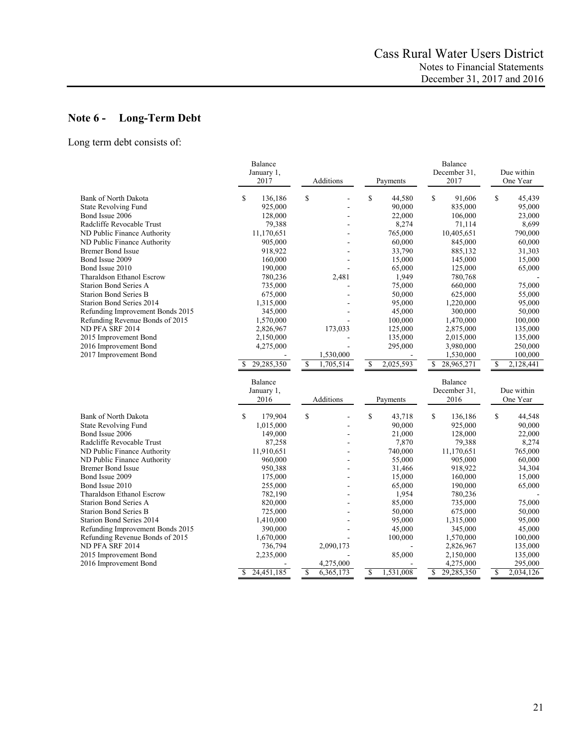# **Note 6 - Long-Term Debt**

Long term debt consists of:

|                                  | Balance         |                 |                 | Balance          |                          |
|----------------------------------|-----------------|-----------------|-----------------|------------------|--------------------------|
|                                  | January 1,      |                 |                 | December 31,     | Due within               |
|                                  | 2017            | Additions       | Payments        | 2017             | One Year                 |
| <b>Bank of North Dakota</b>      | \$<br>136,186   | $\mathsf{\$}$   | \$<br>44,580    | \$<br>91,606     | \$<br>45,439             |
| <b>State Revolving Fund</b>      | 925,000         |                 | 90,000          | 835,000          | 95,000                   |
| Bond Issue 2006                  | 128,000         |                 | 22,000          | 106,000          | 23,000                   |
| Radcliffe Revocable Trust        | 79,388          |                 | 8,274           | 71,114           | 8,699                    |
| ND Public Finance Authority      | 11,170,651      |                 | 765,000         | 10,405,651       | 790,000                  |
| ND Public Finance Authority      | 905,000         |                 | 60,000          | 845,000          | 60,000                   |
| <b>Bremer Bond Issue</b>         | 918,922         |                 | 33,790          | 885,132          | 31,303                   |
| Bond Issue 2009                  | 160,000         |                 | 15,000          | 145,000          | 15,000                   |
| Bond Issue 2010                  | 190,000         |                 | 65,000          | 125,000          | 65,000                   |
| Tharaldson Ethanol Escrow        | 780,236         | 2,481           | 1,949           | 780,768          |                          |
| <b>Starion Bond Series A</b>     | 735,000         |                 | 75,000          | 660,000          | 75,000                   |
| <b>Starion Bond Series B</b>     | 675,000         |                 | 50,000          | 625,000          | 55,000                   |
| Starion Bond Series 2014         | 1,315,000       |                 | 95,000          | 1,220,000        | 95,000                   |
| Refunding Improvement Bonds 2015 | 345,000         |                 | 45,000          | 300,000          | 50,000                   |
| Refunding Revenue Bonds of 2015  | 1,570,000       |                 | 100,000         | 1,470,000        | 100,000                  |
| ND PFA SRF 2014                  | 2,826,967       | 173,033         | 125,000         | 2,875,000        | 135,000                  |
| 2015 Improvement Bond            | 2,150,000       |                 | 135,000         | 2,015,000        | 135,000                  |
| 2016 Improvement Bond            | 4,275,000       |                 | 295,000         | 3,980,000        | 250,000                  |
| 2017 Improvement Bond            |                 | 1,530,000       |                 | 1,530,000        | 100,000                  |
|                                  | 29,285,350      | \$<br>1,705,514 | 2,025,593<br>\$ | 28,965,271<br>\$ | $\mathbf S$<br>2,128,441 |
|                                  | Balance         |                 |                 | Balance          |                          |
|                                  | January 1,      |                 |                 | December 31,     | Due within               |
|                                  | 2016            | Additions       | Payments        | 2016             | One Year                 |
| <b>Bank of North Dakota</b>      | \$<br>179,904   | $\mathsf{\$}$   | \$<br>43,718    | \$<br>136,186    | \$<br>44,548             |
| <b>State Revolving Fund</b>      | 1,015,000       |                 | 90,000          | 925,000          | 90,000                   |
| Bond Issue 2006                  | 149,000         |                 | 21,000          | 128,000          | 22,000                   |
| Radcliffe Revocable Trust        | 87,258          |                 | 7,870           | 79,388           | 8,274                    |
| ND Public Finance Authority      | 11,910,651      |                 | 740,000         | 11,170,651       | 765,000                  |
| ND Public Finance Authority      | 960,000         |                 | 55,000          | 905,000          | 60,000                   |
| <b>Bremer Bond Issue</b>         | 950,388         |                 | 31,466          | 918,922          | 34,304                   |
| Bond Issue 2009                  | 175,000         |                 | 15,000          | 160,000          | 15,000                   |
| Bond Issue 2010                  | 255,000         |                 | 65,000          | 190,000          | 65,000                   |
| Tharaldson Ethanol Escrow        | 782,190         |                 | 1,954           | 780,236          |                          |
| <b>Starion Bond Series A</b>     | 820,000         |                 | 85,000          | 735,000          | 75,000                   |
| <b>Starion Bond Series B</b>     | 725,000         |                 | 50,000          | 675,000          | 50,000                   |
| Starion Bond Series 2014         | 1,410,000       |                 | 95,000          | 1,315,000        | 95,000                   |
| Refunding Improvement Bonds 2015 | 390,000         |                 | 45,000          | 345,000          | 45,000                   |
| Refunding Revenue Bonds of 2015  | 1,670,000       |                 | 100,000         | 1,570,000        | 100,000                  |
| ND PFA SRF 2014                  | 736,794         | 2,090,173       |                 | 2,826,967        | 135,000                  |
| 2015 Improvement Bond            | 2,235,000       |                 | 85,000          | 2,150,000        | 135,000                  |
| 2016 Improvement Bond            |                 | 4,275,000       |                 | 4,275,000        | 295,000                  |
|                                  | 24,451,185<br>S | 6,365,173<br>\$ | \$<br>1,531,008 | \$<br>29,285,350 | 2,034,126<br>\$          |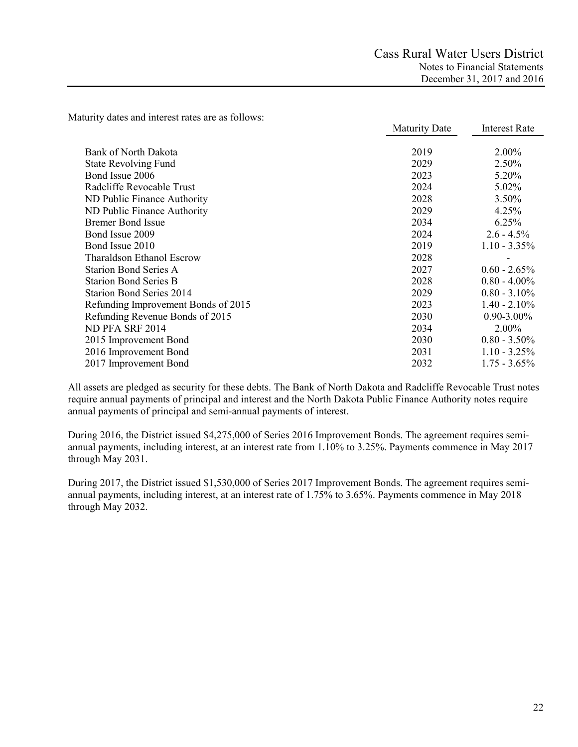Maturity dates and interest rates are as follows:

|                                     | <b>Maturity Date</b> | <b>Interest Rate</b> |
|-------------------------------------|----------------------|----------------------|
|                                     |                      |                      |
| <b>Bank of North Dakota</b>         | 2019                 | 2.00%                |
| <b>State Revolving Fund</b>         | 2029                 | 2.50%                |
| Bond Issue 2006                     | 2023                 | 5.20%                |
| Radcliffe Revocable Trust           | 2024                 | 5.02%                |
| ND Public Finance Authority         | 2028                 | 3.50%                |
| ND Public Finance Authority         | 2029                 | 4.25%                |
| <b>Bremer Bond Issue</b>            | 2034                 | 6.25%                |
| Bond Issue 2009                     | 2024                 | $2.6 - 4.5\%$        |
| Bond Issue 2010                     | 2019                 | $1.10 - 3.35\%$      |
| Tharaldson Ethanol Escrow           | 2028                 |                      |
| <b>Starion Bond Series A</b>        | 2027                 | $0.60 - 2.65\%$      |
| <b>Starion Bond Series B</b>        | 2028                 | $0.80 - 4.00\%$      |
| <b>Starion Bond Series 2014</b>     | 2029                 | $0.80 - 3.10\%$      |
| Refunding Improvement Bonds of 2015 | 2023                 | $1.40 - 2.10\%$      |
| Refunding Revenue Bonds of 2015     | 2030                 | $0.90 - 3.00\%$      |
| ND PFA SRF 2014                     | 2034                 | $2.00\%$             |
| 2015 Improvement Bond               | 2030                 | $0.80 - 3.50\%$      |
| 2016 Improvement Bond               | 2031                 | $1.10 - 3.25\%$      |
| 2017 Improvement Bond               | 2032                 | $1.75 - 3.65\%$      |

All assets are pledged as security for these debts. The Bank of North Dakota and Radcliffe Revocable Trust notes require annual payments of principal and interest and the North Dakota Public Finance Authority notes require annual payments of principal and semi-annual payments of interest.

During 2016, the District issued \$4,275,000 of Series 2016 Improvement Bonds. The agreement requires semiannual payments, including interest, at an interest rate from 1.10% to 3.25%. Payments commence in May 2017 through May 2031.

During 2017, the District issued \$1,530,000 of Series 2017 Improvement Bonds. The agreement requires semiannual payments, including interest, at an interest rate of 1.75% to 3.65%. Payments commence in May 2018 through May 2032.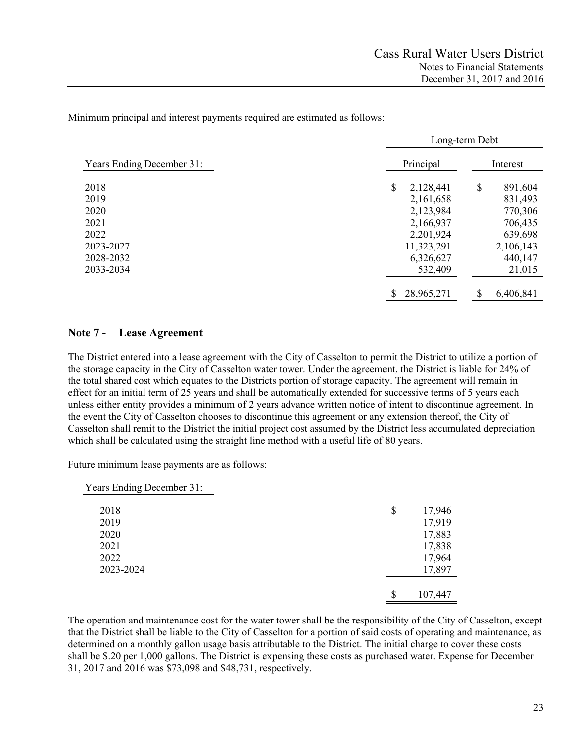Minimum principal and interest payments required are estimated as follows:

|                                  | Long-term Debt   |                 |  |  |  |  |
|----------------------------------|------------------|-----------------|--|--|--|--|
| <b>Years Ending December 31:</b> | Principal        | Interest        |  |  |  |  |
| 2018                             | \$<br>2,128,441  | \$<br>891,604   |  |  |  |  |
| 2019                             | 2,161,658        | 831,493         |  |  |  |  |
| 2020                             | 2,123,984        | 770,306         |  |  |  |  |
| 2021                             | 2,166,937        | 706,435         |  |  |  |  |
| 2022                             | 2,201,924        | 639,698         |  |  |  |  |
| 2023-2027                        | 11,323,291       | 2,106,143       |  |  |  |  |
| 2028-2032                        | 6,326,627        | 440,147         |  |  |  |  |
| 2033-2034                        | 532,409          | 21,015          |  |  |  |  |
|                                  | \$<br>28,965,271 | \$<br>6,406,841 |  |  |  |  |

### **Note 7 - Lease Agreement**

The District entered into a lease agreement with the City of Casselton to permit the District to utilize a portion of the storage capacity in the City of Casselton water tower. Under the agreement, the District is liable for 24% of the total shared cost which equates to the Districts portion of storage capacity. The agreement will remain in effect for an initial term of 25 years and shall be automatically extended for successive terms of 5 years each unless either entity provides a minimum of 2 years advance written notice of intent to discontinue agreement. In the event the City of Casselton chooses to discontinue this agreement or any extension thereof, the City of Casselton shall remit to the District the initial project cost assumed by the District less accumulated depreciation which shall be calculated using the straight line method with a useful life of 80 years.

Future minimum lease payments are as follows:

| Years Ending December 31: |               |
|---------------------------|---------------|
| 2018                      | \$<br>17,946  |
| 2019                      | 17,919        |
| 2020                      | 17,883        |
| 2021                      | 17,838        |
| 2022                      | 17,964        |
| 2023-2024                 | 17,897        |
|                           |               |
|                           | \$<br>107,447 |

The operation and maintenance cost for the water tower shall be the responsibility of the City of Casselton, except that the District shall be liable to the City of Casselton for a portion of said costs of operating and maintenance, as determined on a monthly gallon usage basis attributable to the District. The initial charge to cover these costs shall be \$.20 per 1,000 gallons. The District is expensing these costs as purchased water. Expense for December 31, 2017 and 2016 was \$73,098 and \$48,731, respectively.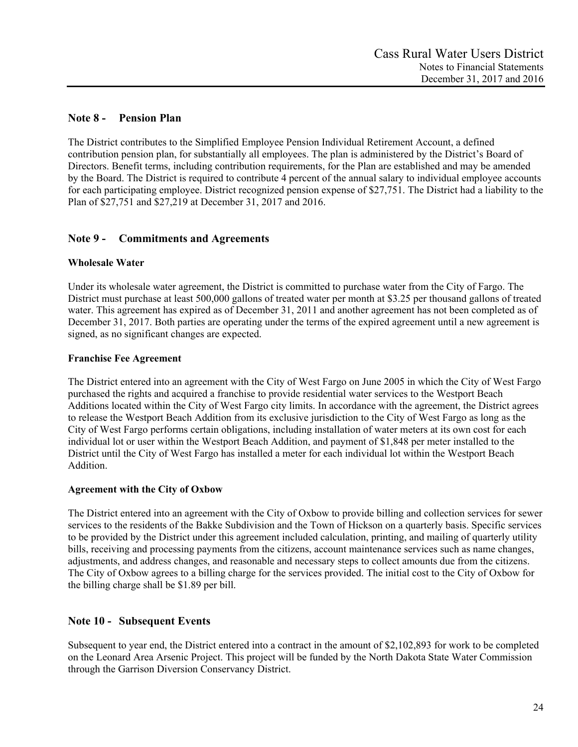# **Note 8 - Pension Plan**

The District contributes to the Simplified Employee Pension Individual Retirement Account, a defined contribution pension plan, for substantially all employees. The plan is administered by the District's Board of Directors. Benefit terms, including contribution requirements, for the Plan are established and may be amended by the Board. The District is required to contribute 4 percent of the annual salary to individual employee accounts for each participating employee. District recognized pension expense of \$27,751. The District had a liability to the Plan of \$27,751 and \$27,219 at December 31, 2017 and 2016.

# **Note 9 - Commitments and Agreements**

# **Wholesale Water**

Under its wholesale water agreement, the District is committed to purchase water from the City of Fargo. The District must purchase at least 500,000 gallons of treated water per month at \$3.25 per thousand gallons of treated water. This agreement has expired as of December 31, 2011 and another agreement has not been completed as of December 31, 2017. Both parties are operating under the terms of the expired agreement until a new agreement is signed, as no significant changes are expected.

# **Franchise Fee Agreement**

The District entered into an agreement with the City of West Fargo on June 2005 in which the City of West Fargo purchased the rights and acquired a franchise to provide residential water services to the Westport Beach Additions located within the City of West Fargo city limits. In accordance with the agreement, the District agrees to release the Westport Beach Addition from its exclusive jurisdiction to the City of West Fargo as long as the City of West Fargo performs certain obligations, including installation of water meters at its own cost for each individual lot or user within the Westport Beach Addition, and payment of \$1,848 per meter installed to the District until the City of West Fargo has installed a meter for each individual lot within the Westport Beach Addition.

# **Agreement with the City of Oxbow**

The District entered into an agreement with the City of Oxbow to provide billing and collection services for sewer services to the residents of the Bakke Subdivision and the Town of Hickson on a quarterly basis. Specific services to be provided by the District under this agreement included calculation, printing, and mailing of quarterly utility bills, receiving and processing payments from the citizens, account maintenance services such as name changes, adjustments, and address changes, and reasonable and necessary steps to collect amounts due from the citizens. The City of Oxbow agrees to a billing charge for the services provided. The initial cost to the City of Oxbow for the billing charge shall be \$1.89 per bill.

# **Note 10 - Subsequent Events**

Subsequent to year end, the District entered into a contract in the amount of \$2,102,893 for work to be completed on the Leonard Area Arsenic Project. This project will be funded by the North Dakota State Water Commission through the Garrison Diversion Conservancy District.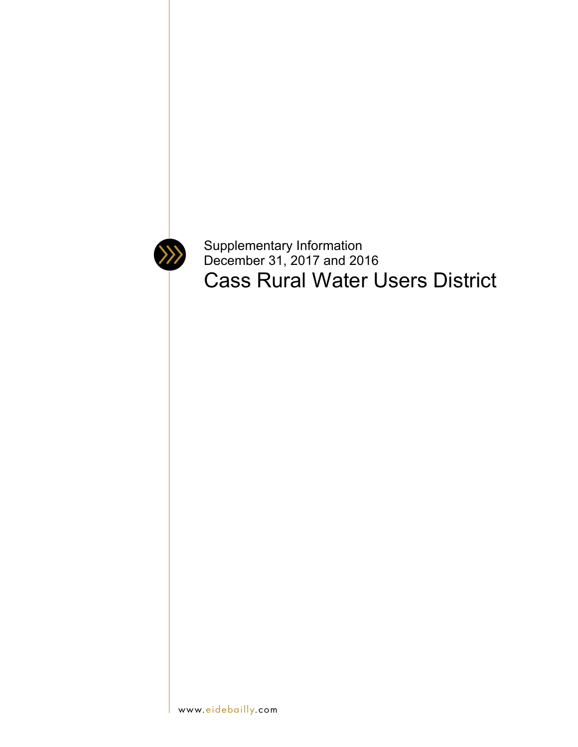

Supplementary Information December 31, 2017 and 2016 Cass Rural Water Users District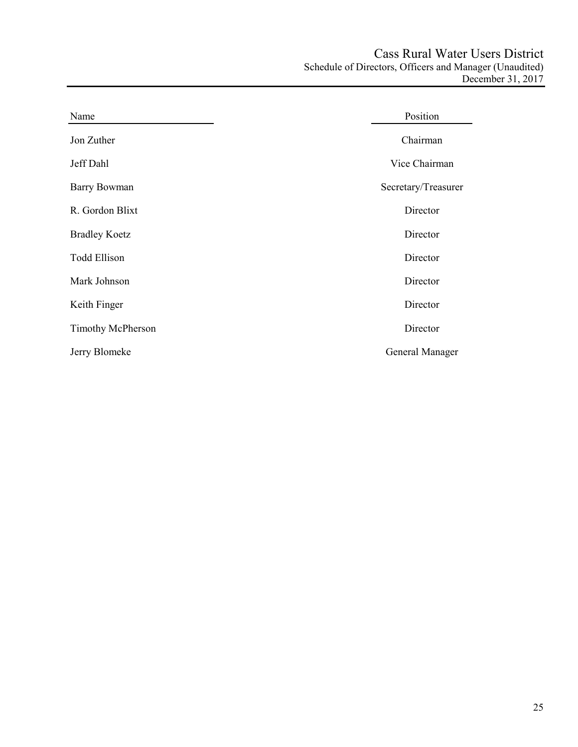| Name                 | Position            |
|----------------------|---------------------|
| Jon Zuther           | Chairman            |
| Jeff Dahl            | Vice Chairman       |
| <b>Barry Bowman</b>  | Secretary/Treasurer |
| R. Gordon Blixt      | Director            |
| <b>Bradley Koetz</b> | Director            |
| <b>Todd Ellison</b>  | Director            |
| Mark Johnson         | Director            |
| Keith Finger         | Director            |
| Timothy McPherson    | Director            |
| Jerry Blomeke        | General Manager     |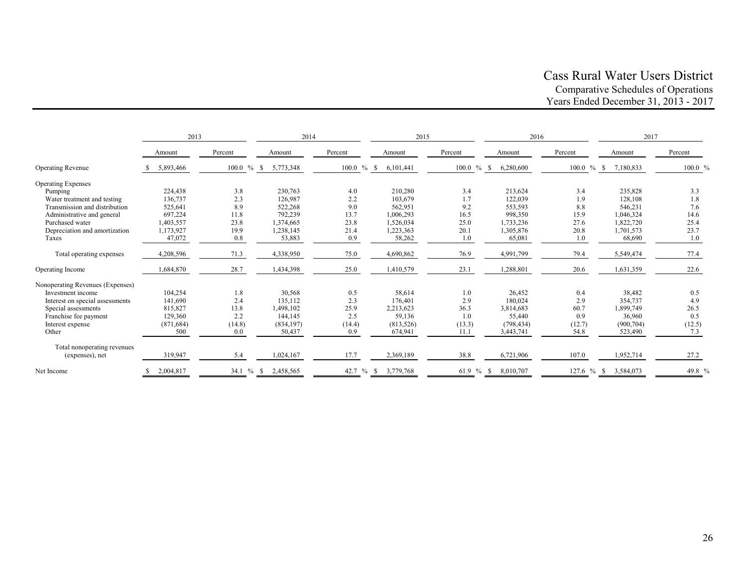# Cass Rural Water Users District Comparative Schedules of Operations Years Ended December 31, 2013 - 2017

|                                  | 2014<br>2013 |               | 2015            |               | 2016              |               | 2017            |               |            |         |
|----------------------------------|--------------|---------------|-----------------|---------------|-------------------|---------------|-----------------|---------------|------------|---------|
|                                  | Amount       | Percent       | Amount          | Percent       | Amount            | Percent       | Amount          | Percent       | Amount     | Percent |
| <b>Operating Revenue</b>         | 5,893,466    | $100.0 \%$ \$ | 5,773,348       | $100.0 \%$ \$ | 6,101,441         | $100.0 \%$ \$ | 6,280,600       | $100.0 \%$ \$ | 7,180,833  | 100.0 % |
| <b>Operating Expenses</b>        |              |               |                 |               |                   |               |                 |               |            |         |
| Pumping                          | 224,438      | 3.8           | 230,763         | 4.0           | 210,280           | 3.4           | 213,624         | 3.4           | 235,828    | 3.3     |
| Water treatment and testing      | 136,737      | 2.3           | 126,987         | 2.2           | 103,679           | 1.7           | 122,039         | 1.9           | 128,108    | 1.8     |
| Transmission and distribution    | 525,641      | 8.9           | 522,268         | 9.0           | 562,951           | 9.2           | 553,593         | 8.8           | 546,231    | 7.6     |
| Administrative and general       | 697,224      | 11.8          | 792,239         | 13.7          | 1,006,293         | 16.5          | 998,350         | 15.9          | 1,046,324  | 14.6    |
| Purchased water                  | 1,403,557    | 23.8          | 1,374,665       | 23.8          | 1,526,034         | 25.0          | 1,733,236       | 27.6          | 1,822,720  | 25.4    |
| Depreciation and amortization    | 1,173,927    | 19.9          | 1,238,145       | 21.4          | 1,223,363         | 20.1          | 1,305,876       | 20.8          | 1,701,573  | 23.7    |
| Taxes                            | 47,072       | 0.8           | 53,883          | 0.9           | 58,262            | 1.0           | 65,081          | 1.0           | 68,690     | 1.0     |
| Total operating expenses         | 4,208,596    | 71.3          | 4,338,950       | 75.0          | 4,690,862         | 76.9          | 4,991,799       | 79.4          | 5,549,474  | 77.4    |
| Operating Income                 | 1,684,870    | 28.7          | 1,434,398       | 25.0          | 1,410,579         | 23.1          | 1,288,801       | 20.6          | 1,631,359  | 22.6    |
| Nonoperating Revenues (Expenses) |              |               |                 |               |                   |               |                 |               |            |         |
| Investment income                | 104.254      | 1.8           | 30,568          | 0.5           | 58.614            | 1.0           | 26.452          | 0.4           | 38,482     | 0.5     |
| Interest on special assessments  | 141,690      | 2.4           | 135,112         | 2.3           | 176,401           | 2.9           | 180,024         | 2.9           | 354,737    | 4.9     |
| Special assessments              | 815,827      | 13.8          | 1,498,102       | 25.9          | 2,213,623         | 36.3          | 3,814,683       | 60.7          | 1,899,749  | 26.5    |
| Franchise fee payment            | 129,360      | 2.2           | 144,145         | 2.5           | 59,136            | 1.0           | 55,440          | 0.9           | 36,960     | 0.5     |
| Interest expense                 | (871, 684)   | (14.8)        | (834, 197)      | (14.4)        | (813, 526)        | (13.3)        | (798, 434)      | (12.7)        | (900, 704) | (12.5)  |
| Other                            | 500          | 0.0           | 50,437          | 0.9           | 674,941           | 11.1          | 3,443,741       | 54.8          | 523,490    | 7.3     |
| Total nonoperating revenues      |              |               |                 |               |                   |               |                 |               |            |         |
| (expenses), net                  | 319,947      | 5.4           | 1,024,167       | 17.7          | 2,369,189         | 38.8          | 6,721,906       | 107.0         | 1,952,714  | 27.2    |
| Net Income                       | 2,004,817    | 34.1 %        | 2,458,565<br>-S | 42.7 %        | 3,779,768<br>- \$ | 61.9 %        | 8.010.707<br>-S | $127.6%$ % \$ | 3.584.073  | 49.8 %  |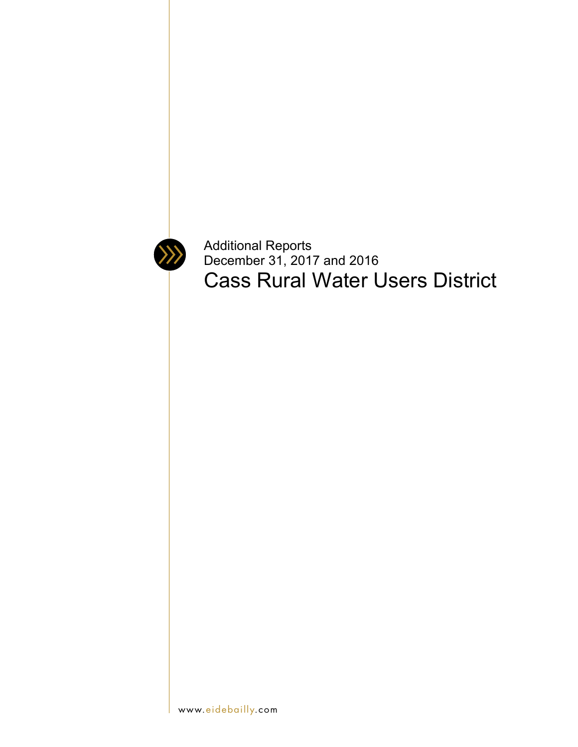

Additional Reports December 31, 2017 and 2016 Cass Rural Water Users District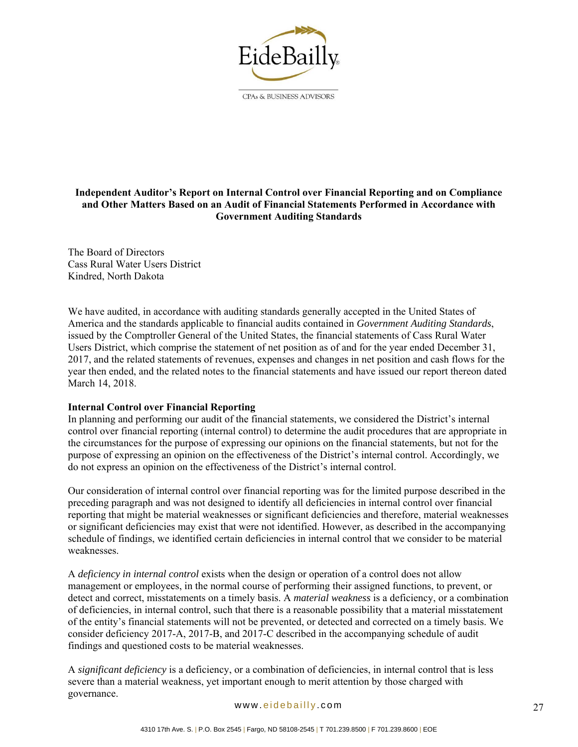

CPAs & BUSINESS ADVISORS

# **Independent Auditor's Report on Internal Control over Financial Reporting and on Compliance and Other Matters Based on an Audit of Financial Statements Performed in Accordance with Government Auditing Standards**

The Board of Directors Cass Rural Water Users District Kindred, North Dakota

We have audited, in accordance with auditing standards generally accepted in the United States of America and the standards applicable to financial audits contained in *Government Auditing Standards*, issued by the Comptroller General of the United States, the financial statements of Cass Rural Water Users District, which comprise the statement of net position as of and for the year ended December 31, 2017, and the related statements of revenues, expenses and changes in net position and cash flows for the year then ended, and the related notes to the financial statements and have issued our report thereon dated March 14, 2018.

### **Internal Control over Financial Reporting**

In planning and performing our audit of the financial statements, we considered the District's internal control over financial reporting (internal control) to determine the audit procedures that are appropriate in the circumstances for the purpose of expressing our opinions on the financial statements, but not for the purpose of expressing an opinion on the effectiveness of the District's internal control. Accordingly, we do not express an opinion on the effectiveness of the District's internal control.

Our consideration of internal control over financial reporting was for the limited purpose described in the preceding paragraph and was not designed to identify all deficiencies in internal control over financial reporting that might be material weaknesses or significant deficiencies and therefore, material weaknesses or significant deficiencies may exist that were not identified. However, as described in the accompanying schedule of findings, we identified certain deficiencies in internal control that we consider to be material weaknesses.

A *deficiency in internal control* exists when the design or operation of a control does not allow management or employees, in the normal course of performing their assigned functions, to prevent, or detect and correct, misstatements on a timely basis. A *material weakness* is a deficiency, or a combination of deficiencies, in internal control, such that there is a reasonable possibility that a material misstatement of the entity's financial statements will not be prevented, or detected and corrected on a timely basis. We consider deficiency 2017-A, 2017-B, and 2017-C described in the accompanying schedule of audit findings and questioned costs to be material weaknesses.

A *significant deficiency* is a deficiency, or a combination of deficiencies, in internal control that is less severe than a material weakness, yet important enough to merit attention by those charged with governance.

#### www. eidebailly .com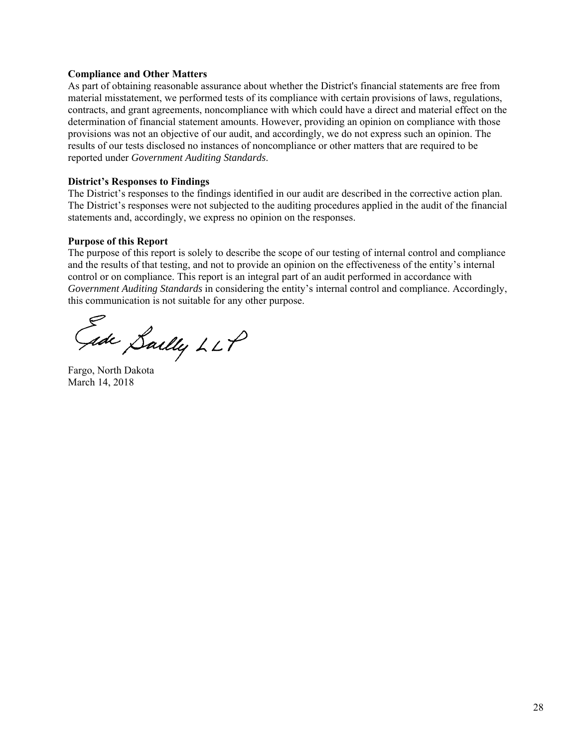#### **Compliance and Other Matters**

As part of obtaining reasonable assurance about whether the District's financial statements are free from material misstatement, we performed tests of its compliance with certain provisions of laws, regulations, contracts, and grant agreements, noncompliance with which could have a direct and material effect on the determination of financial statement amounts. However, providing an opinion on compliance with those provisions was not an objective of our audit, and accordingly, we do not express such an opinion. The results of our tests disclosed no instances of noncompliance or other matters that are required to be reported under *Government Auditing Standards*.

#### **District's Responses to Findings**

The District's responses to the findings identified in our audit are described in the corrective action plan. The District's responses were not subjected to the auditing procedures applied in the audit of the financial statements and, accordingly, we express no opinion on the responses.

#### **Purpose of this Report**

The purpose of this report is solely to describe the scope of our testing of internal control and compliance and the results of that testing, and not to provide an opinion on the effectiveness of the entity's internal control or on compliance. This report is an integral part of an audit performed in accordance with *Government Auditing Standards* in considering the entity's internal control and compliance. Accordingly, this communication is not suitable for any other purpose.

Gade Sailly LLP

Fargo, North Dakota March 14, 2018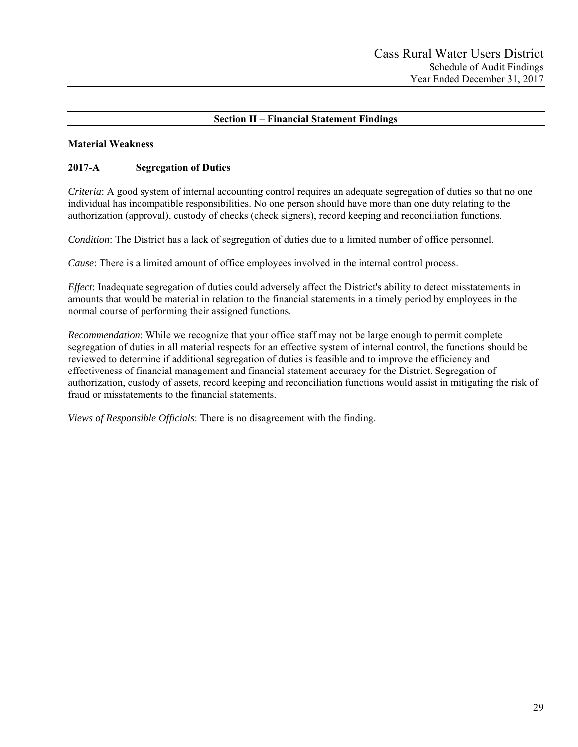# **Section II – Financial Statement Findings**

### **Material Weakness**

# **2017-A Segregation of Duties**

*Criteria*: A good system of internal accounting control requires an adequate segregation of duties so that no one individual has incompatible responsibilities. No one person should have more than one duty relating to the authorization (approval), custody of checks (check signers), record keeping and reconciliation functions.

*Condition*: The District has a lack of segregation of duties due to a limited number of office personnel.

*Cause*: There is a limited amount of office employees involved in the internal control process.

*Effect*: Inadequate segregation of duties could adversely affect the District's ability to detect misstatements in amounts that would be material in relation to the financial statements in a timely period by employees in the normal course of performing their assigned functions.

*Recommendation*: While we recognize that your office staff may not be large enough to permit complete segregation of duties in all material respects for an effective system of internal control, the functions should be reviewed to determine if additional segregation of duties is feasible and to improve the efficiency and effectiveness of financial management and financial statement accuracy for the District. Segregation of authorization, custody of assets, record keeping and reconciliation functions would assist in mitigating the risk of fraud or misstatements to the financial statements.

*Views of Responsible Officials*: There is no disagreement with the finding.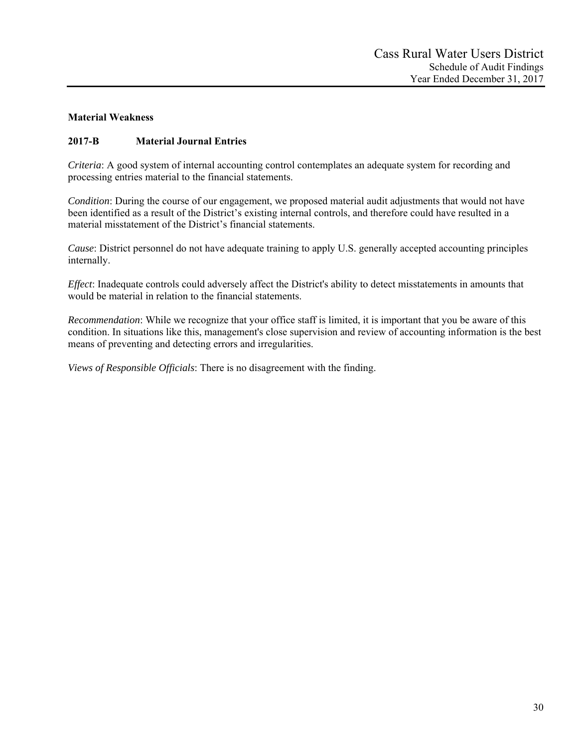# **Material Weakness**

# **2017-B Material Journal Entries**

*Criteria*: A good system of internal accounting control contemplates an adequate system for recording and processing entries material to the financial statements.

*Condition*: During the course of our engagement, we proposed material audit adjustments that would not have been identified as a result of the District's existing internal controls, and therefore could have resulted in a material misstatement of the District's financial statements.

*Cause*: District personnel do not have adequate training to apply U.S. generally accepted accounting principles internally.

*Effect*: Inadequate controls could adversely affect the District's ability to detect misstatements in amounts that would be material in relation to the financial statements.

*Recommendation*: While we recognize that your office staff is limited, it is important that you be aware of this condition. In situations like this, management's close supervision and review of accounting information is the best means of preventing and detecting errors and irregularities.

*Views of Responsible Officials*: There is no disagreement with the finding.